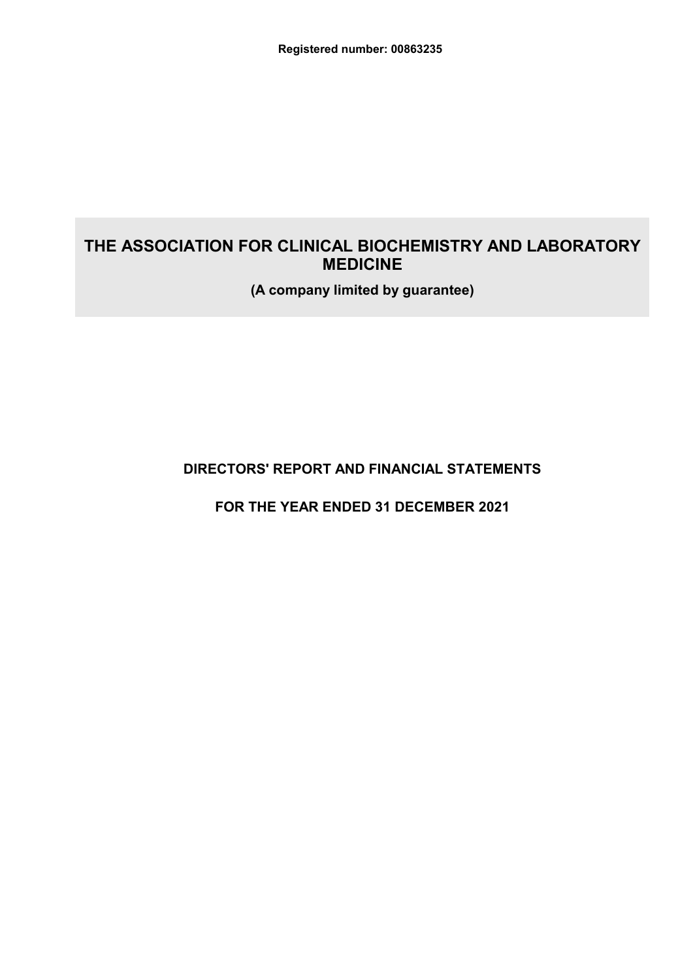(A company limited by guarantee)

# **DIRECTORS' REPORT AND FINANCIAL STATEMENTS**

FOR THE YEAR ENDED 31 DECEMBER 2021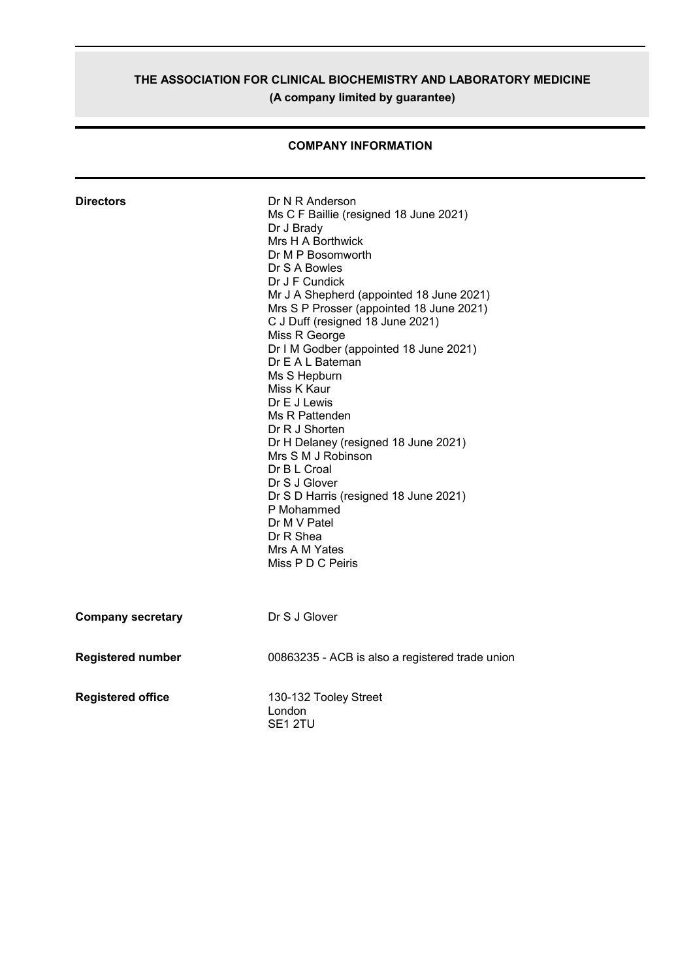# THE ASSOCIATION FOR CLINICAL BIOCHEMISTRY AND LABORATORY MEDICINE (A company limited by guarantee)

| <b>Directors</b>         | Dr N R Anderson<br>Ms C F Baillie (resigned 18 June 2021)<br>Dr J Brady<br>Mrs H A Borthwick<br>Dr M P Bosomworth<br>Dr S A Bowles<br>Dr J F Cundick<br>Mr J A Shepherd (appointed 18 June 2021)<br>Mrs S P Prosser (appointed 18 June 2021)<br>C J Duff (resigned 18 June 2021)<br>Miss R George<br>Dr I M Godber (appointed 18 June 2021)<br>Dr E A L Bateman<br>Ms S Hepburn<br>Miss K Kaur<br>Dr E J Lewis<br>Ms R Pattenden<br>Dr R J Shorten<br>Dr H Delaney (resigned 18 June 2021)<br>Mrs S M J Robinson<br>Dr B L Croal<br>Dr S J Glover<br>Dr S D Harris (resigned 18 June 2021)<br>P Mohammed<br>Dr M V Patel<br>Dr R Shea<br>Mrs A M Yates<br>Miss P D C Peiris |
|--------------------------|-----------------------------------------------------------------------------------------------------------------------------------------------------------------------------------------------------------------------------------------------------------------------------------------------------------------------------------------------------------------------------------------------------------------------------------------------------------------------------------------------------------------------------------------------------------------------------------------------------------------------------------------------------------------------------|
| <b>Company secretary</b> | Dr S J Glover                                                                                                                                                                                                                                                                                                                                                                                                                                                                                                                                                                                                                                                               |
| <b>Registered number</b> | 00863235 - ACB is also a registered trade union                                                                                                                                                                                                                                                                                                                                                                                                                                                                                                                                                                                                                             |
| <b>Registered office</b> | 130-132 Tooley Street<br>London<br>SE <sub>1</sub> 2TU                                                                                                                                                                                                                                                                                                                                                                                                                                                                                                                                                                                                                      |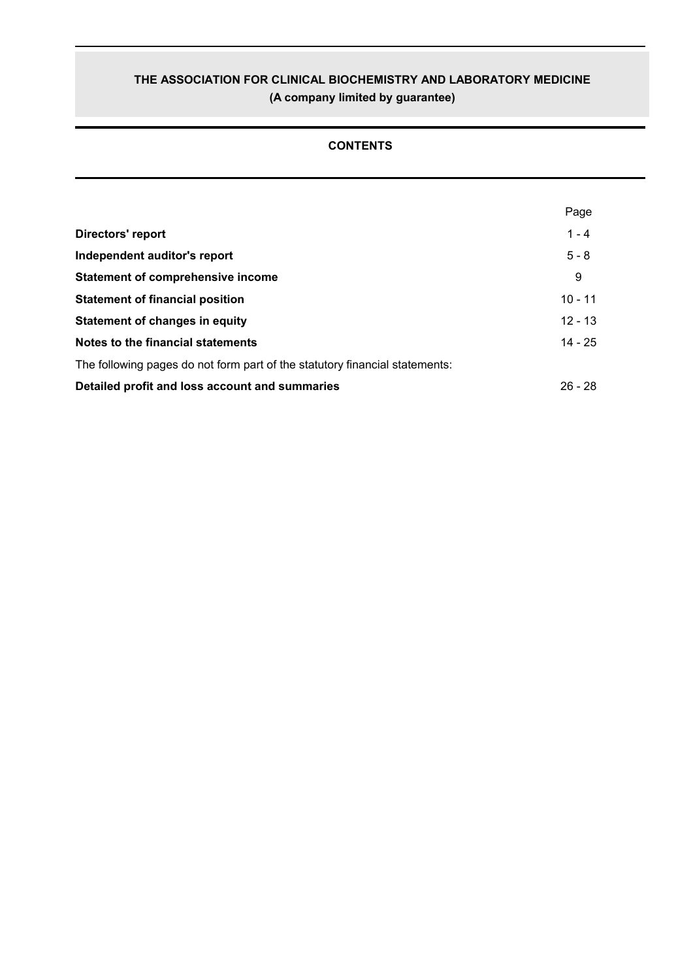# THE ASSOCIATION FOR CLINICAL BIOCHEMISTRY AND LABORATORY MEDICINE (A company limited by guarantee)

# **CONTENTS**

|                                                                             | Page      |
|-----------------------------------------------------------------------------|-----------|
| Directors' report                                                           | $1 - 4$   |
| Independent auditor's report                                                | $5 - 8$   |
| <b>Statement of comprehensive income</b>                                    | 9         |
| <b>Statement of financial position</b>                                      | $10 - 11$ |
| <b>Statement of changes in equity</b>                                       | $12 - 13$ |
| Notes to the financial statements                                           | $14 - 25$ |
| The following pages do not form part of the statutory financial statements: |           |
| Detailed profit and loss account and summaries                              | $26 - 28$ |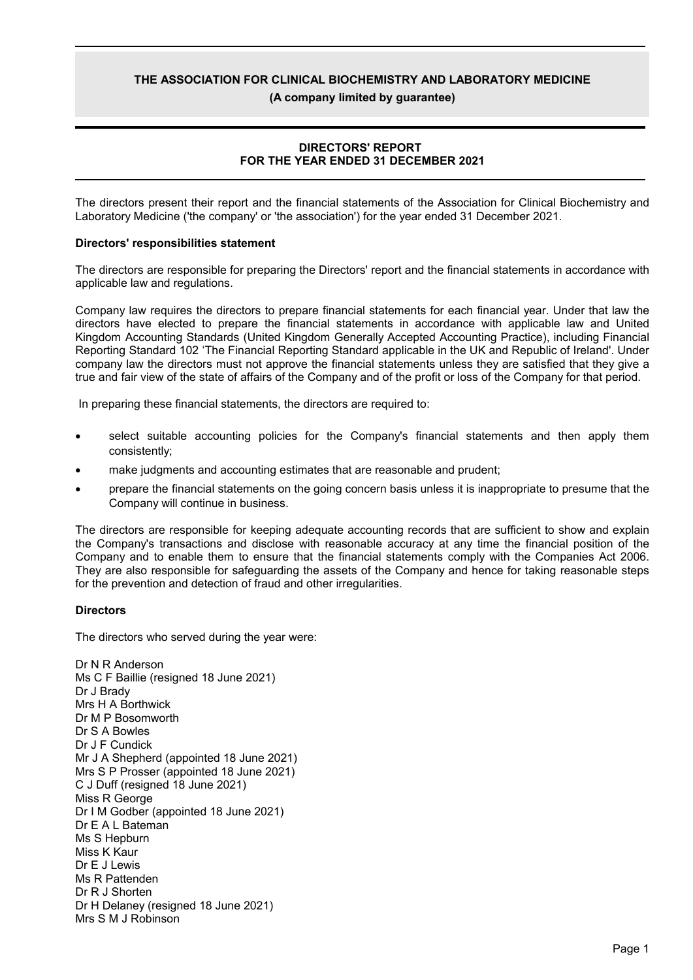(A company limited by quarantee)

#### **DIRECTORS' REPORT** FOR THE YEAR ENDED 31 DECEMBER 2021

The directors present their report and the financial statements of the Association for Clinical Biochemistry and Laboratory Medicine ('the company' or 'the association') for the year ended 31 December 2021.

#### **Directors' responsibilities statement**

The directors are responsible for preparing the Directors' report and the financial statements in accordance with applicable law and regulations.

Company law requires the directors to prepare financial statements for each financial year. Under that law the directors have elected to prepare the financial statements in accordance with applicable law and United Kingdom Accounting Standards (United Kingdom Generally Accepted Accounting Practice), including Financial Reporting Standard 102 'The Financial Reporting Standard applicable in the UK and Republic of Ireland'. Under company law the directors must not approve the financial statements unless they are satisfied that they give a true and fair view of the state of affairs of the Company and of the profit or loss of the Company for that period.

In preparing these financial statements, the directors are required to:

- select suitable accounting policies for the Company's financial statements and then apply them consistently;
- make judgments and accounting estimates that are reasonable and prudent;
- prepare the financial statements on the going concern basis unless it is inappropriate to presume that the Company will continue in business.

The directors are responsible for keeping adequate accounting records that are sufficient to show and explain the Company's transactions and disclose with reasonable accuracy at any time the financial position of the Company and to enable them to ensure that the financial statements comply with the Companies Act 2006. They are also responsible for safeguarding the assets of the Company and hence for taking reasonable steps for the prevention and detection of fraud and other irregularities.

#### **Directors**

The directors who served during the year were:

Dr N R Anderson Ms C F Baillie (resigned 18 June 2021) Dr J Brady Mrs H A Borthwick Dr M P Bosomworth Dr S A Bowles Dr J F Cundick Mr J A Shepherd (appointed 18 June 2021) Mrs S P Prosser (appointed 18 June 2021) C J Duff (resigned 18 June 2021) Miss R George Dr I M Godber (appointed 18 June 2021) Dr E A L Bateman Ms S Hepburn Miss K Kaur Dr E J Lewis Ms R Pattenden Dr R J Shorten Dr H Delaney (resigned 18 June 2021) Mrs S M J Robinson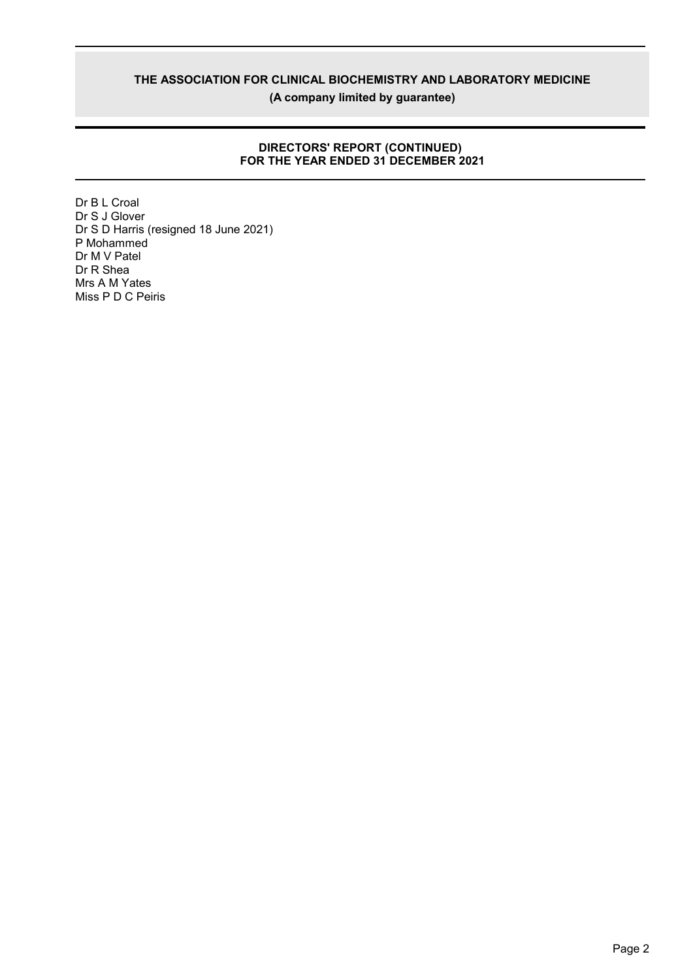(A company limited by guarantee)

# DIRECTORS' REPORT (CONTINUED)<br>FOR THE YEAR ENDED 31 DECEMBER 2021

Dr B L Croal Dr S J Glover Dr S D Harris (resigned 18 June 2021) P Mohammed Dr M V Patel Dr R Shea Mrs A M Yates Miss P D C Peiris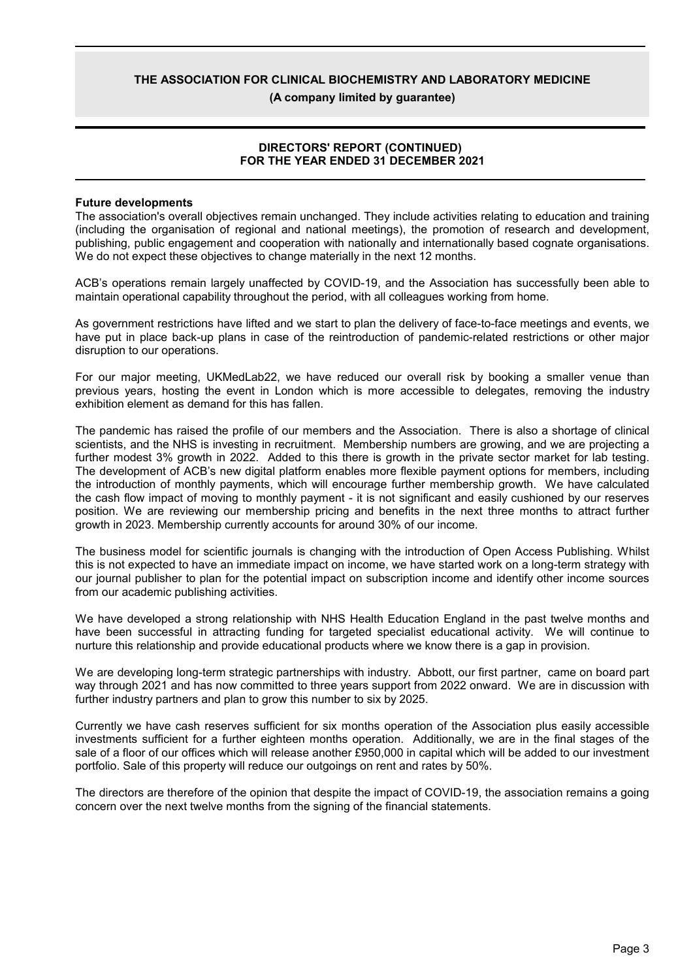(A company limited by quarantee)

#### **DIRECTORS' REPORT (CONTINUED)** FOR THE YEAR ENDED 31 DECEMBER 2021

#### **Future developments**

The association's overall objectives remain unchanged. They include activities relating to education and training (including the organisation of regional and national meetings), the promotion of research and development, publishing, public engagement and cooperation with nationally and internationally based cognate organisations. We do not expect these objectives to change materially in the next 12 months.

ACB's operations remain largely unaffected by COVID-19, and the Association has successfully been able to maintain operational capability throughout the period, with all colleagues working from home.

As government restrictions have lifted and we start to plan the delivery of face-to-face meetings and events, we have put in place back-up plans in case of the reintroduction of pandemic-related restrictions or other major disruption to our operations.

For our major meeting, UKMedLab22, we have reduced our overall risk by booking a smaller venue than previous vears, hosting the event in London which is more accessible to delegates, removing the industry exhibition element as demand for this has fallen.

The pandemic has raised the profile of our members and the Association. There is also a shortage of clinical scientists, and the NHS is investing in recruitment. Membership numbers are growing, and we are projecting a further modest 3% growth in 2022. Added to this there is growth in the private sector market for lab testing. The development of ACB's new digital platform enables more flexible payment options for members, including the introduction of monthly payments, which will encourage further membership growth. We have calculated the cash flow impact of moving to monthly payment - it is not significant and easily cushioned by our reserves position. We are reviewing our membership pricing and benefits in the next three months to attract further growth in 2023. Membership currently accounts for around 30% of our income.

The business model for scientific journals is changing with the introduction of Open Access Publishing. Whilst this is not expected to have an immediate impact on income, we have started work on a long-term strategy with our journal publisher to plan for the potential impact on subscription income and identify other income sources from our academic publishing activities.

We have developed a strong relationship with NHS Health Education England in the past twelve months and have been successful in attracting funding for targeted specialist educational activity. We will continue to nurture this relationship and provide educational products where we know there is a gap in provision.

We are developing long-term strategic partnerships with industry. Abbott, our first partner, came on board part way through 2021 and has now committed to three years support from 2022 onward. We are in discussion with further industry partners and plan to grow this number to six by 2025.

Currently we have cash reserves sufficient for six months operation of the Association plus easily accessible investments sufficient for a further eighteen months operation. Additionally, we are in the final stages of the sale of a floor of our offices which will release another £950,000 in capital which will be added to our investment portfolio. Sale of this property will reduce our outgoings on rent and rates by 50%.

The directors are therefore of the opinion that despite the impact of COVID-19, the association remains a going concern over the next twelve months from the signing of the financial statements.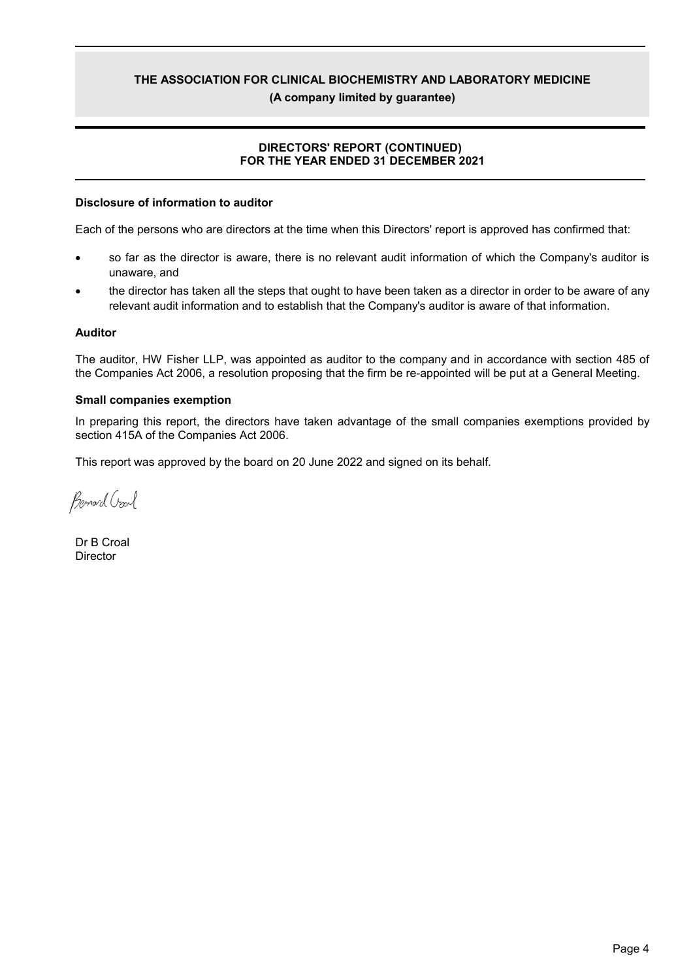### (A company limited by quarantee)

### **DIRECTORS' REPORT (CONTINUED)** FOR THE YEAR ENDED 31 DECEMBER 2021

#### Disclosure of information to auditor

Each of the persons who are directors at the time when this Directors' report is approved has confirmed that:

- so far as the director is aware, there is no relevant audit information of which the Company's auditor is unaware, and
- the director has taken all the steps that ought to have been taken as a director in order to be aware of any relevant audit information and to establish that the Company's auditor is aware of that information.

#### **Auditor**

The auditor, HW Fisher LLP, was appointed as auditor to the company and in accordance with section 485 of the Companies Act 2006, a resolution proposing that the firm be re-appointed will be put at a General Meeting.

#### **Small companies exemption**

In preparing this report, the directors have taken advantage of the small companies exemptions provided by section 415A of the Companies Act 2006.

This report was approved by the board on 20 June 2022 and signed on its behalf.

Benard Crarl

Dr B Croal Director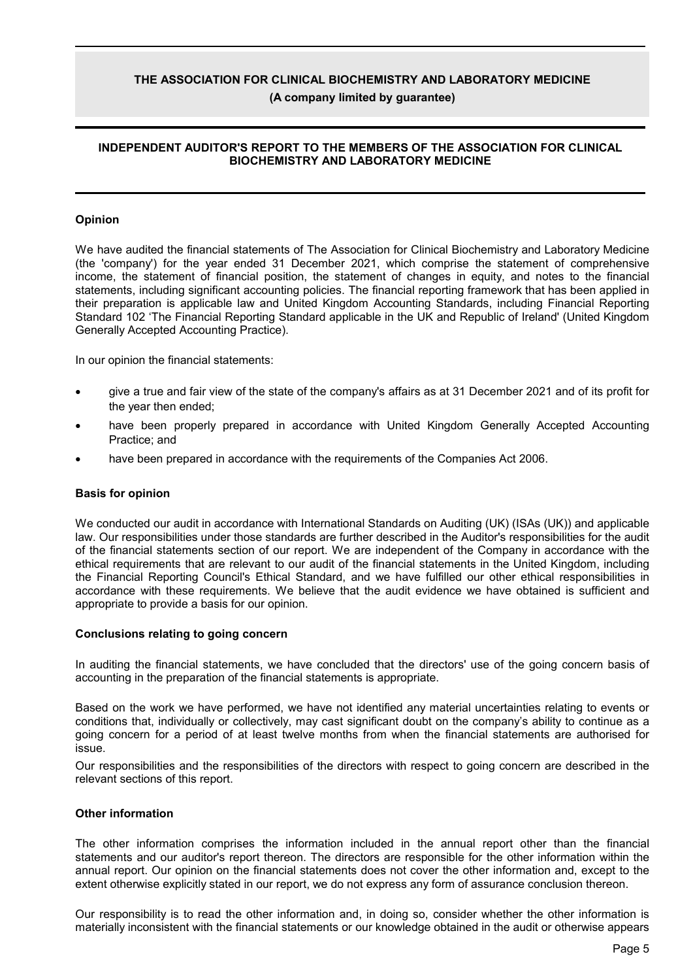### THE ASSOCIATION FOR CLINICAL BIOCHEMISTRY AND LABORATORY MEDICINE (A company limited by quarantee)

#### INDEPENDENT AUDITOR'S REPORT TO THE MEMBERS OF THE ASSOCIATION FOR CLINICAL **BIOCHEMISTRY AND LABORATORY MEDICINE**

#### Opinion

We have audited the financial statements of The Association for Clinical Biochemistry and Laboratory Medicine (the 'company') for the vear ended 31 December 2021, which comprise the statement of comprehensive income, the statement of financial position, the statement of changes in equity, and notes to the financial statements, including significant accounting policies. The financial reporting framework that has been applied in their preparation is applicable law and United Kingdom Accounting Standards, including Financial Reporting Standard 102 'The Financial Reporting Standard applicable in the UK and Republic of Ireland' (United Kingdom Generally Accepted Accounting Practice).

In our opinion the financial statements:

- give a true and fair view of the state of the company's affairs as at 31 December 2021 and of its profit for the year then ended:
- have been properly prepared in accordance with United Kingdom Generally Accepted Accounting Practice; and
- have been prepared in accordance with the requirements of the Companies Act 2006.

#### **Basis for opinion**

We conducted our audit in accordance with International Standards on Auditing (UK) (ISAs (UK)) and applicable law. Our responsibilities under those standards are further described in the Auditor's responsibilities for the audit of the financial statements section of our report. We are independent of the Company in accordance with the ethical requirements that are relevant to our audit of the financial statements in the United Kingdom, including the Financial Reporting Council's Ethical Standard, and we have fulfilled our other ethical responsibilities in accordance with these requirements. We believe that the audit evidence we have obtained is sufficient and appropriate to provide a basis for our opinion.

#### **Conclusions relating to going concern**

In auditing the financial statements, we have concluded that the directors' use of the going concern basis of accounting in the preparation of the financial statements is appropriate.

Based on the work we have performed, we have not identified any material uncertainties relating to events or conditions that, individually or collectively, may cast significant doubt on the company's ability to continue as a going concern for a period of at least twelve months from when the financial statements are authorised for eupzi

Our responsibilities and the responsibilities of the directors with respect to going concern are described in the relevant sections of this report.

#### **Other information**

The other information comprises the information included in the annual report other than the financial statements and our auditor's report thereon. The directors are responsible for the other information within the annual report. Our opinion on the financial statements does not cover the other information and, except to the extent otherwise explicitly stated in our report, we do not express any form of assurance conclusion thereon.

Our responsibility is to read the other information and, in doing so, consider whether the other information is materially inconsistent with the financial statements or our knowledge obtained in the audit or otherwise appears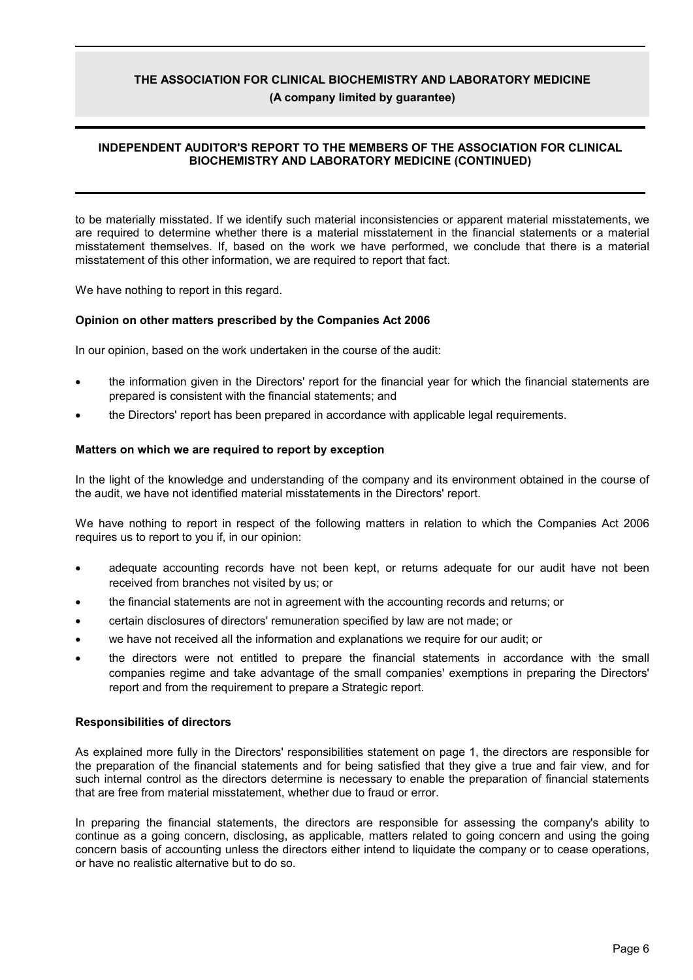### THE ASSOCIATION FOR CLINICAL BIOCHEMISTRY AND LABORATORY MEDICINE (A company limited by quarantee)

#### INDEPENDENT AUDITOR'S REPORT TO THE MEMBERS OF THE ASSOCIATION FOR CLINICAL **BIOCHEMISTRY AND LABORATORY MEDICINE (CONTINUED)**

to be materially misstated. If we identify such material inconsistencies or apparent material misstatements, we are required to determine whether there is a material misstatement in the financial statements or a material misstatement themselves. If, based on the work we have performed, we conclude that there is a material misstatement of this other information, we are required to report that fact.

We have nothing to report in this regard.

#### Opinion on other matters prescribed by the Companies Act 2006

In our opinion, based on the work undertaken in the course of the audit:

- the information given in the Directors' report for the financial year for which the financial statements are prepared is consistent with the financial statements; and
- the Directors' report has been prepared in accordance with applicable legal requirements.

#### Matters on which we are required to report by exception

In the light of the knowledge and understanding of the company and its environment obtained in the course of the audit, we have not identified material misstatements in the Directors' report.

We have nothing to report in respect of the following matters in relation to which the Companies Act 2006 requires us to report to you if, in our opinion:

- adequate accounting records have not been kept, or returns adequate for our audit have not been received from branches not visited by us; or
- the financial statements are not in agreement with the accounting records and returns; or
- certain disclosures of directors' remuneration specified by law are not made; or
- we have not received all the information and explanations we require for our audit; or
- the directors were not entitled to prepare the financial statements in accordance with the small companies regime and take advantage of the small companies' exemptions in preparing the Directors' report and from the requirement to prepare a Strategic report.

#### **Responsibilities of directors**

As explained more fully in the Directors' responsibilities statement on page 1, the directors are responsible for the preparation of the financial statements and for being satisfied that they give a true and fair view, and for such internal control as the directors determine is necessary to enable the preparation of financial statements that are free from material misstatement, whether due to fraud or error.

In preparing the financial statements, the directors are responsible for assessing the company's ability to continue as a going concern, disclosing, as applicable, matters related to going concern and using the going concern basis of accounting unless the directors either intend to liquidate the company or to cease operations, or have no realistic alternative but to do so.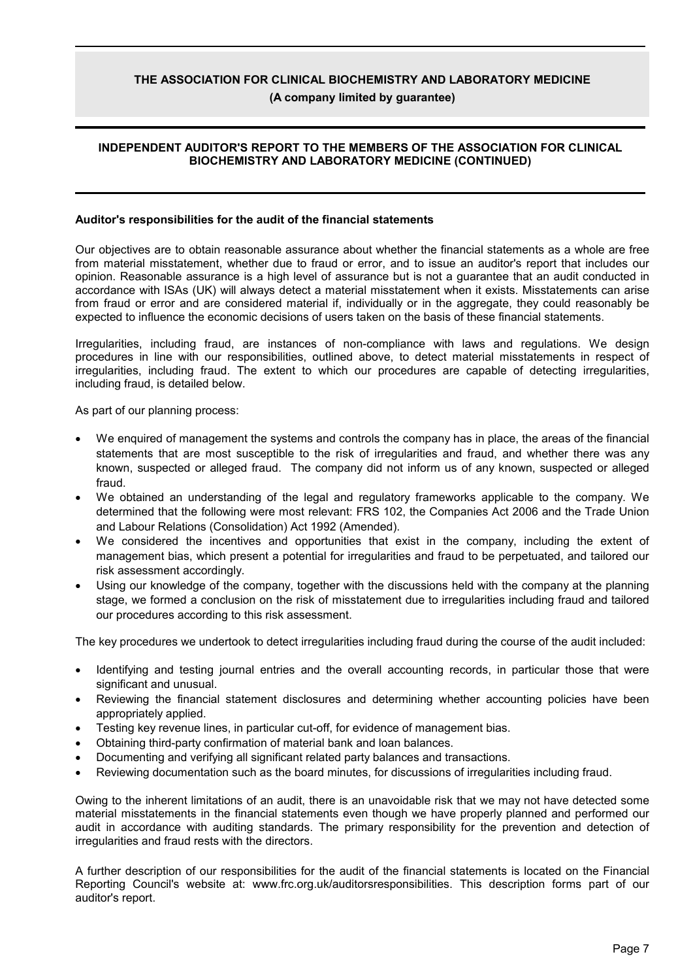(A company limited by quarantee)

### INDEPENDENT AUDITOR'S REPORT TO THE MEMBERS OF THE ASSOCIATION FOR CLINICAL BIOCHEMISTRY AND LABORATORY MEDICINE (CONTINUED)

#### Auditor's responsibilities for the audit of the financial statements

Our objectives are to obtain reasonable assurance about whether the financial statements as a whole are free from material misstatement, whether due to fraud or error, and to issue an auditor's report that includes our opinion. Reasonable assurance is a high level of assurance but is not a guarantee that an audit conducted in accordance with ISAs (UK) will always detect a material misstatement when it exists. Misstatements can arise from fraud or error and are considered material if, individually or in the aggregate, they could reasonably be expected to influence the economic decisions of users taken on the basis of these financial statements.

Irregularities, including fraud, are instances of non-compliance with laws and regulations. We design procedures in line with our responsibilities, outlined above, to detect material misstatements in respect of irregularities, including fraud. The extent to which our procedures are capable of detecting irregularities, including fraud, is detailed below.

As part of our planning process:

- We enquired of management the systems and controls the company has in place, the areas of the financial statements that are most susceptible to the risk of irregularities and fraud, and whether there was any known, suspected or alleged fraud. The company did not inform us of any known, suspected or alleged fraud.
- We obtained an understanding of the legal and regulatory frameworks applicable to the company. We determined that the following were most relevant: FRS 102, the Companies Act 2006 and the Trade Union and Labour Relations (Consolidation) Act 1992 (Amended).
- We considered the incentives and opportunities that exist in the company, including the extent of management bias, which present a potential for irregularities and fraud to be perpetuated, and tailored our risk assessment accordingly.
- Using our knowledge of the company, together with the discussions held with the company at the planning stage, we formed a conclusion on the risk of misstatement due to irregularities including fraud and tailored our procedures according to this risk assessment.

The key procedures we undertook to detect irregularities including fraud during the course of the audit included:

- Identifying and testing journal entries and the overall accounting records, in particular those that were significant and unusual.
- Reviewing the financial statement disclosures and determining whether accounting policies have been appropriately applied.
- Testing key revenue lines, in particular cut-off, for evidence of management bias.
- Obtaining third-party confirmation of material bank and loan balances.
- Documenting and verifying all significant related party balances and transactions.
- Reviewing documentation such as the board minutes, for discussions of irregularities including fraud.

Owing to the inherent limitations of an audit, there is an unavoidable risk that we may not have detected some material misstatements in the financial statements even though we have properly planned and performed our audit in accordance with auditing standards. The primary responsibility for the prevention and detection of irregularities and fraud rests with the directors.

A further description of our responsibilities for the audit of the financial statements is located on the Financial Reporting Council's website at: www.frc.org.uk/auditorsresponsibilities. This description forms part of our auditor's report.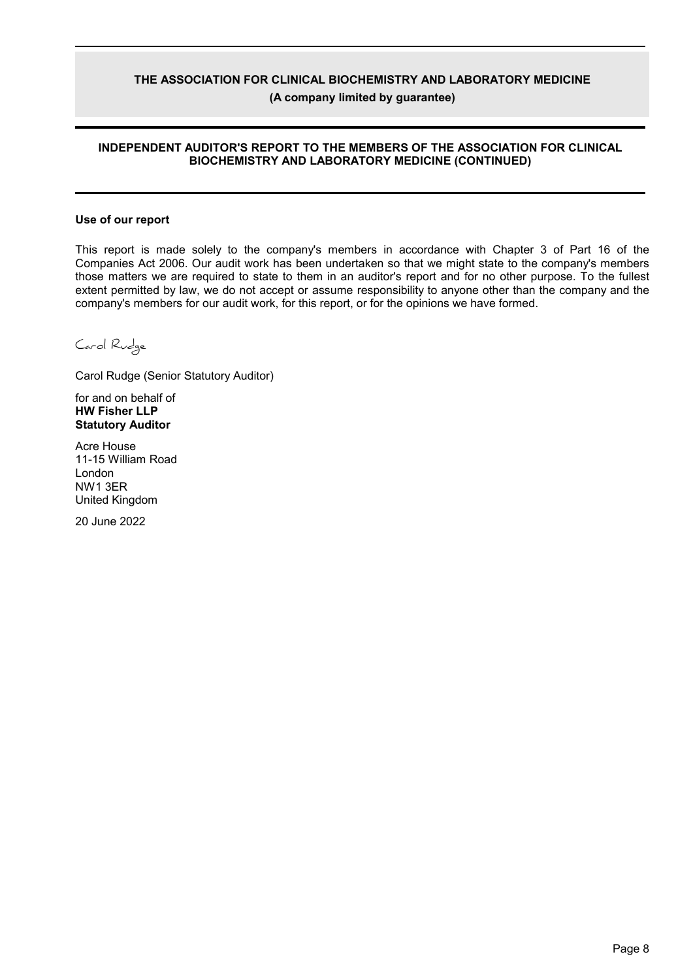### **THE ASSOCIATION FOR CLINICAL BIOCHEMISTRY AND LABORATORY MEDICINE (A company limited by guarantee)**

### **INDEPENDENT AUDITOR'S REPORT TO THE MEMBERS OF THE ASSOCIATION FOR CLINICAL BIOCHEMISTRY AND LABORATORY MEDICINE (CONTINUED)**

#### **Use of our report**

This report is made solely to the company's members in accordance with Chapter 3 of Part 16 of the Companies Act 2006. Our audit work has been undertaken so that we might state to the company's members those matters we are required to state to them in an auditor's report and for no other purpose. To the fullest extent permitted by law, we do not accept or assume responsibility to anyone other than the company and the company's members for our audit work, for this report, or for the opinions we have formed.

Carol Rudge

Carol Rudge (Senior Statutory Auditor)

for and on behalf of **HW Fisher LLP Statutory Auditor**

Acre House 11-15 William Road London NW1 3ER United Kingdom

20 June 2022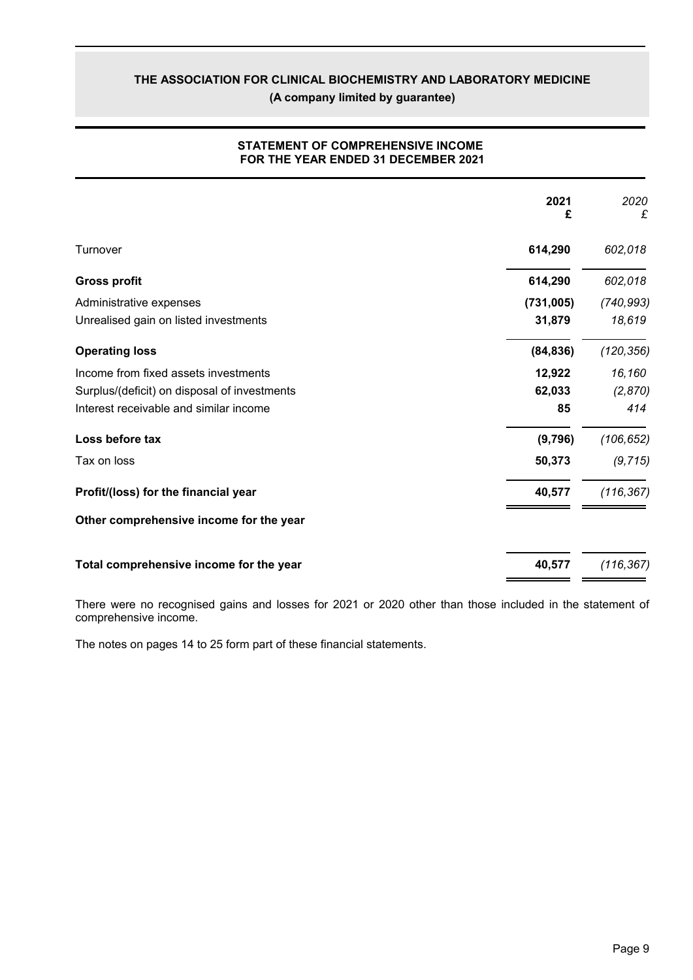(A company limited by guarantee)

|                                              | 2021<br>£ | 2020<br>£  |
|----------------------------------------------|-----------|------------|
| Turnover                                     | 614,290   | 602,018    |
| <b>Gross profit</b>                          | 614,290   | 602,018    |
| Administrative expenses                      | (731,005) | (740, 993) |
| Unrealised gain on listed investments        | 31,879    | 18,619     |
| <b>Operating loss</b>                        | (84, 836) | (120, 356) |
| Income from fixed assets investments         | 12,922    | 16,160     |
| Surplus/(deficit) on disposal of investments | 62,033    | (2,870)    |
| Interest receivable and similar income       | 85        | 414        |
| Loss before tax                              | (9,796)   | (106, 652) |
| Tax on loss                                  | 50,373    | (9, 715)   |
| Profit/(loss) for the financial year         | 40,577    | (116, 367) |
| Other comprehensive income for the year      |           |            |
| Total comprehensive income for the year      | 40,577    | (116, 367) |

### **STATEMENT OF COMPREHENSIVE INCOME** FOR THE YEAR ENDED 31 DECEMBER 2021

There were no recognised gains and losses for 2021 or 2020 other than those included in the statement of comprehensive income.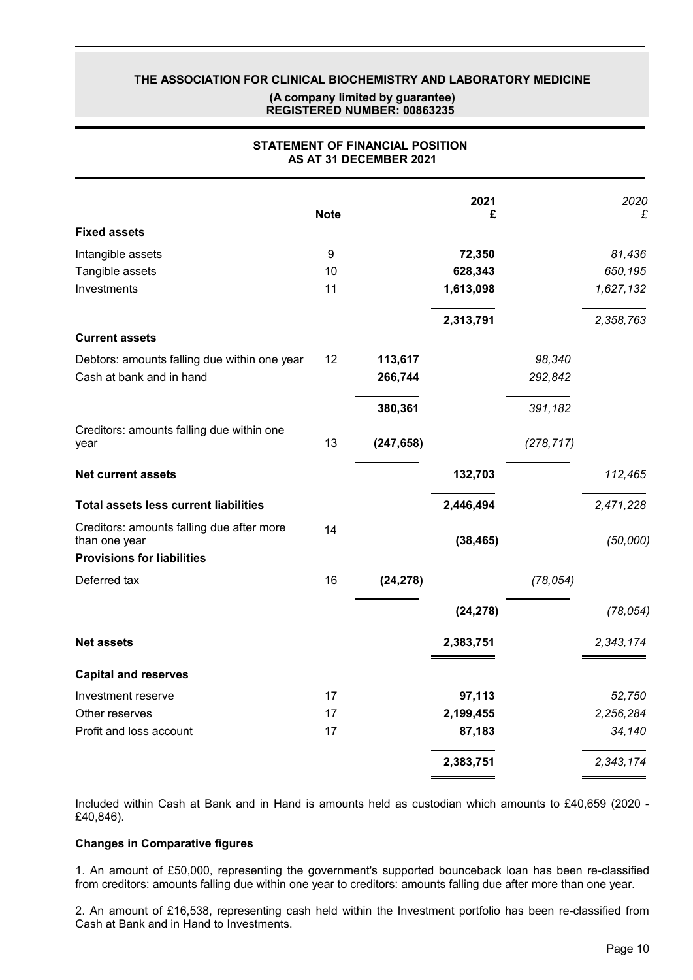### THE ASSOCIATION FOR CLINICAL BIOCHEMISTRY AND LABORATORY MEDICINE (A company limited by quarantee) REGISTERED NUMBER: 00863235

|                                                            | <b>Note</b> |            | 2021<br>£ |            | 2020<br>£ |
|------------------------------------------------------------|-------------|------------|-----------|------------|-----------|
| <b>Fixed assets</b>                                        |             |            |           |            |           |
| Intangible assets                                          | 9           |            | 72,350    |            | 81,436    |
| Tangible assets                                            | 10          |            | 628,343   |            | 650,195   |
| Investments                                                | 11          |            | 1,613,098 |            | 1,627,132 |
|                                                            |             |            | 2,313,791 |            | 2,358,763 |
| <b>Current assets</b>                                      |             |            |           |            |           |
| Debtors: amounts falling due within one year               | 12          | 113,617    |           | 98,340     |           |
| Cash at bank and in hand                                   |             | 266,744    |           | 292,842    |           |
|                                                            |             | 380,361    |           | 391,182    |           |
| Creditors: amounts falling due within one<br>year          | 13          | (247, 658) |           | (278, 717) |           |
| <b>Net current assets</b>                                  |             |            | 132,703   |            | 112,465   |
| <b>Total assets less current liabilities</b>               |             |            | 2,446,494 |            | 2,471,228 |
| Creditors: amounts falling due after more<br>than one year | 14          |            | (38, 465) |            | (50,000)  |
| <b>Provisions for liabilities</b>                          |             |            |           |            |           |
| Deferred tax                                               | 16          | (24, 278)  |           | (78, 054)  |           |
|                                                            |             |            | (24, 278) |            | (78, 054) |
| <b>Net assets</b>                                          |             |            | 2,383,751 |            | 2,343,174 |
| <b>Capital and reserves</b>                                |             |            |           |            |           |
| Investment reserve                                         | 17          |            | 97,113    |            | 52,750    |
| Other reserves                                             | 17          |            | 2,199,455 |            | 2,256,284 |
| Profit and loss account                                    | 17          |            | 87,183    |            | 34,140    |
|                                                            |             |            | 2,383,751 |            | 2,343,174 |

### STATEMENT OF FINANCIAL POSITION AS AT 31 DECEMBER 2021

Included within Cash at Bank and in Hand is amounts held as custodian which amounts to £40,659 (2020 -£40,846).

#### **Changes in Comparative figures**

1. An amount of £50,000, representing the government's supported bounceback loan has been re-classified from creditors: amounts falling due within one year to creditors: amounts falling due after more than one year.

2. An amount of £16,538, representing cash held within the Investment portfolio has been re-classified from Cash at Bank and in Hand to Investments.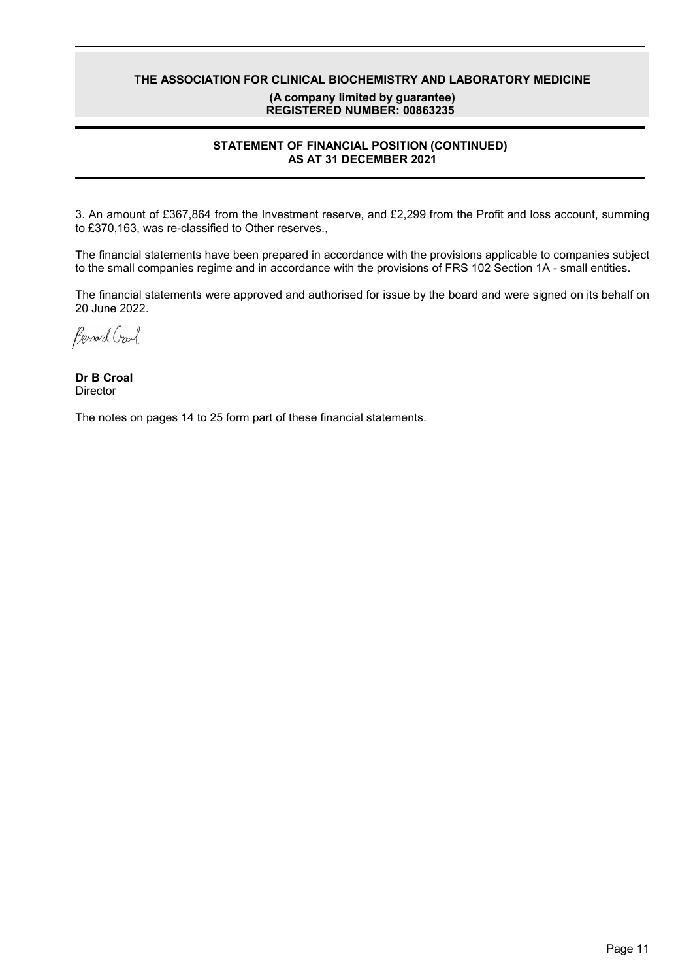### THE ASSOCIATION FOR CLINICAL BIOCHEMISTRY AND LABORATORY MEDICINE (A company limited by quarantee) REGISTERED NUMBER: 00863235

### **STATEMENT OF FINANCIAL POSITION (CONTINUED)** AS AT 31 DECEMBER 2021

3. An amount of £367,864 from the Investment reserve, and £2,299 from the Profit and loss account, summing to £370,163, was re-classified to Other reserves.,

The financial statements have been prepared in accordance with the provisions applicable to companies subject to the small companies regime and in accordance with the provisions of FRS 102 Section 1A - small entities.

The financial statements were approved and authorised for issue by the board and were signed on its behalf on 20 June 2022.

Bernard Crawl

Dr B Croal **Director**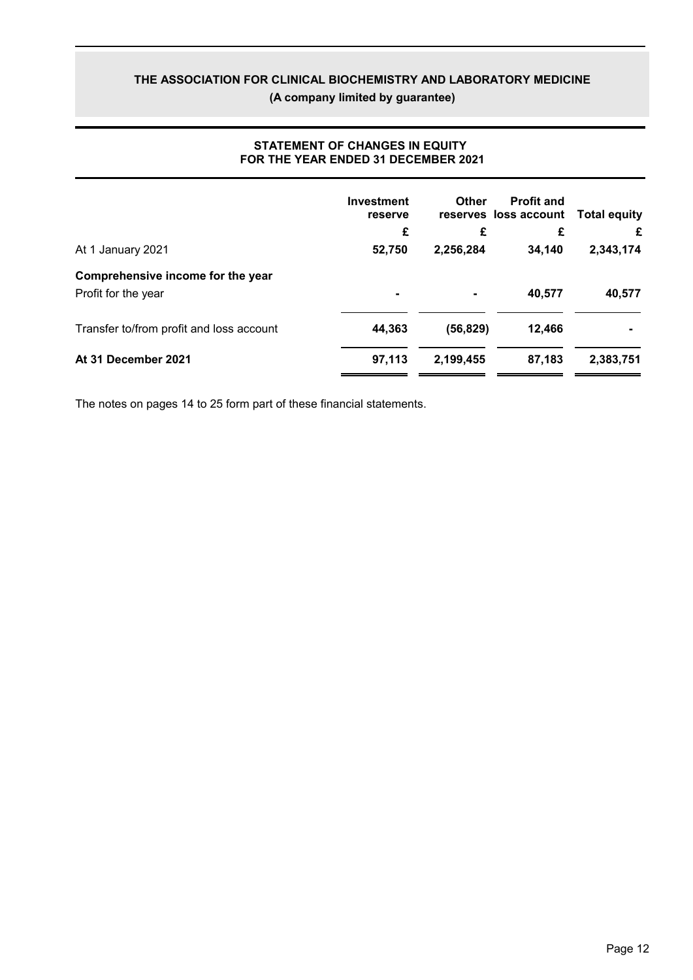(A company limited by guarantee)

|                                          | <b>Investment</b><br>reserve | Other     | <b>Profit and</b><br>reserves loss account | <b>Total equity</b> |
|------------------------------------------|------------------------------|-----------|--------------------------------------------|---------------------|
|                                          | £                            | £         | £                                          | £                   |
| At 1 January 2021                        | 52,750                       | 2,256,284 | 34,140                                     | 2,343,174           |
| Comprehensive income for the year        |                              |           |                                            |                     |
| Profit for the year                      | $\blacksquare$               |           | 40,577                                     | 40,577              |
| Transfer to/from profit and loss account | 44,363                       | (56, 829) | 12,466                                     |                     |
| At 31 December 2021                      | 97,113                       | 2,199,455 | 87,183                                     | 2,383,751           |

### **STATEMENT OF CHANGES IN EQUITY** FOR THE YEAR ENDED 31 DECEMBER 2021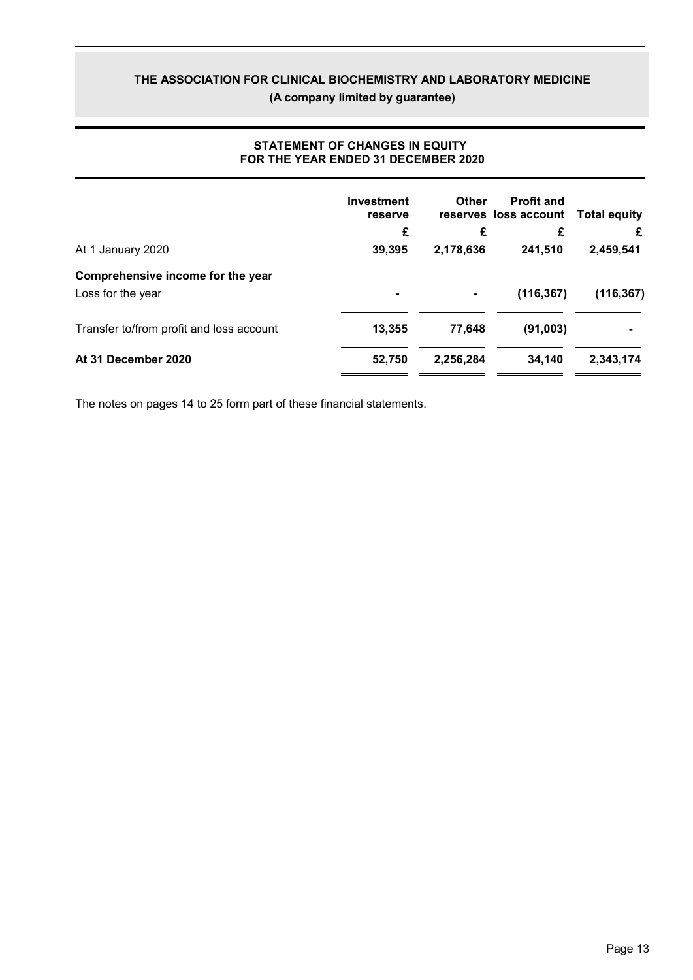(A company limited by guarantee)

|                                          | <b>Investment</b><br>reserve | <b>Other</b>   | <b>Profit and</b><br>reserves loss account | <b>Total equity</b> |
|------------------------------------------|------------------------------|----------------|--------------------------------------------|---------------------|
|                                          | £                            | £              | £                                          | £                   |
| At 1 January 2020                        | 39,395                       | 2,178,636      | 241,510                                    | 2,459,541           |
| Comprehensive income for the year        |                              |                |                                            |                     |
| Loss for the year                        | $\blacksquare$               | $\blacksquare$ | (116, 367)                                 | (116, 367)          |
| Transfer to/from profit and loss account | 13,355                       | 77,648         | (91,003)                                   |                     |
| At 31 December 2020                      | 52.750                       | 2,256,284      | 34,140                                     | 2,343,174           |

### **STATEMENT OF CHANGES IN EQUITY** FOR THE YEAR ENDED 31 DECEMBER 2020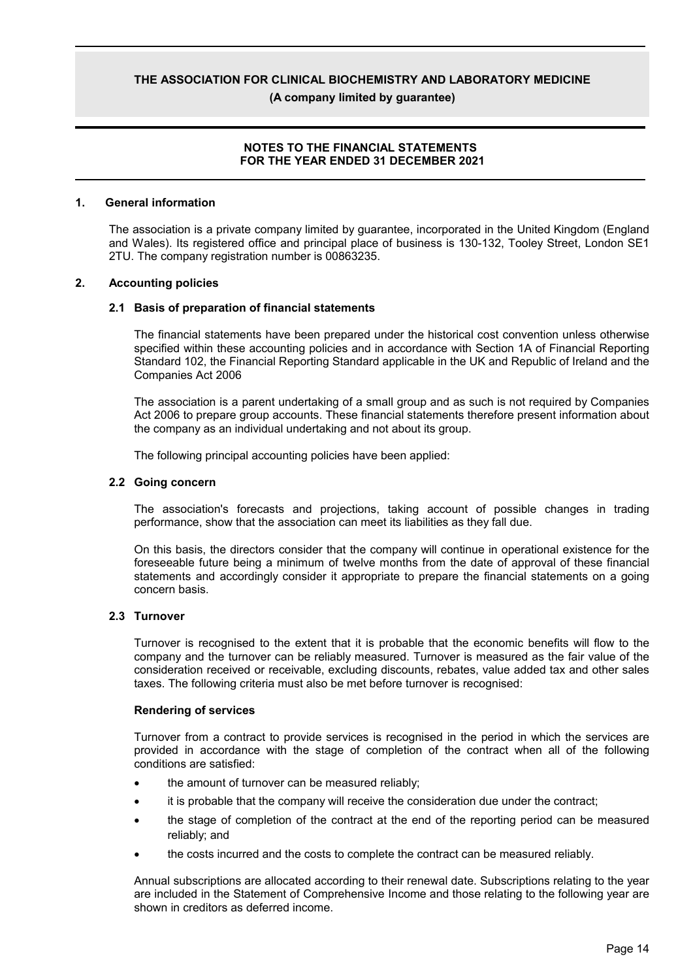(A company limited by quarantee)

#### **NOTES TO THE FINANCIAL STATEMENTS** FOR THE YEAR ENDED 31 DECEMBER 2021

#### $\mathbf{1}$ **General information**

The association is a private company limited by guarantee, incorporated in the United Kingdom (England and Wales). Its registered office and principal place of business is 130-132, Tooley Street, London SE1 2TU. The company registration number is 00863235.

#### $2.$ **Accounting policies**

#### 2.1 Basis of preparation of financial statements

The financial statements have been prepared under the historical cost convention unless otherwise specified within these accounting policies and in accordance with Section 1A of Financial Reporting Standard 102, the Financial Reporting Standard applicable in the UK and Republic of Ireland and the Companies Act 2006

The association is a parent undertaking of a small group and as such is not required by Companies Act 2006 to prepare group accounts. These financial statements therefore present information about the company as an individual undertaking and not about its group.

The following principal accounting policies have been applied:

#### 2.2 Going concern

The association's forecasts and projections, taking account of possible changes in trading performance, show that the association can meet its liabilities as they fall due.

On this basis, the directors consider that the company will continue in operational existence for the foreseeable future being a minimum of twelve months from the date of approval of these financial statements and accordingly consider it appropriate to prepare the financial statements on a going concern basis.

#### 2.3 Turnover

Turnover is recognised to the extent that it is probable that the economic benefits will flow to the company and the turnover can be reliably measured. Turnover is measured as the fair value of the consideration received or receivable, excluding discounts, rebates, value added tax and other sales taxes. The following criteria must also be met before turnover is recognised:

#### **Rendering of services**

Turnover from a contract to provide services is recognised in the period in which the services are provided in accordance with the stage of completion of the contract when all of the following conditions are satisfied:

- the amount of turnover can be measured reliably;
- it is probable that the company will receive the consideration due under the contract;
- the stage of completion of the contract at the end of the reporting period can be measured reliably; and
- the costs incurred and the costs to complete the contract can be measured reliably.

Annual subscriptions are allocated according to their renewal date. Subscriptions relating to the year are included in the Statement of Comprehensive Income and those relating to the following year are shown in creditors as deferred income.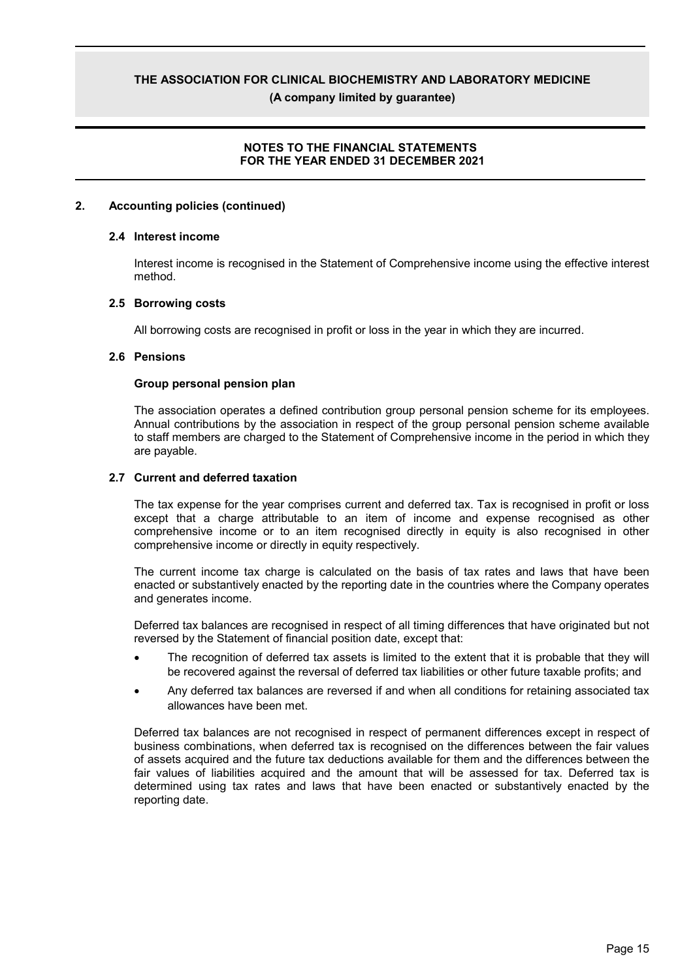(A company limited by quarantee)

### **NOTES TO THE FINANCIAL STATEMENTS** FOR THE YEAR ENDED 31 DECEMBER 2021

#### **Accounting policies (continued)**  $\mathbf{p}$

#### 2.4 Interest income

Interest income is recognised in the Statement of Comprehensive income using the effective interest method.

#### 2.5 Borrowing costs

All borrowing costs are recognised in profit or loss in the year in which they are incurred.

#### 2.6 Pensions

#### Group personal pension plan

The association operates a defined contribution group personal pension scheme for its employees. Annual contributions by the association in respect of the group personal pension scheme available to staff members are charged to the Statement of Comprehensive income in the period in which they are payable.

#### 2.7 Current and deferred taxation

The tax expense for the year comprises current and deferred tax. Tax is recognised in profit or loss except that a charge attributable to an item of income and expense recognised as other comprehensive income or to an item recognised directly in equity is also recognised in other comprehensive income or directly in equity respectively.

The current income tax charge is calculated on the basis of tax rates and laws that have been enacted or substantively enacted by the reporting date in the countries where the Company operates and generates income.

Deferred tax balances are recognised in respect of all timing differences that have originated but not reversed by the Statement of financial position date, except that:

- The recognition of deferred tax assets is limited to the extent that it is probable that they will be recovered against the reversal of deferred tax liabilities or other future taxable profits; and
- Any deferred tax balances are reversed if and when all conditions for retaining associated tax allowances have been met.

Deferred tax balances are not recognised in respect of permanent differences except in respect of business combinations, when deferred tax is recognised on the differences between the fair values of assets acquired and the future tax deductions available for them and the differences between the fair values of liabilities acquired and the amount that will be assessed for tax. Deferred tax is determined using tax rates and laws that have been enacted or substantively enacted by the reporting date.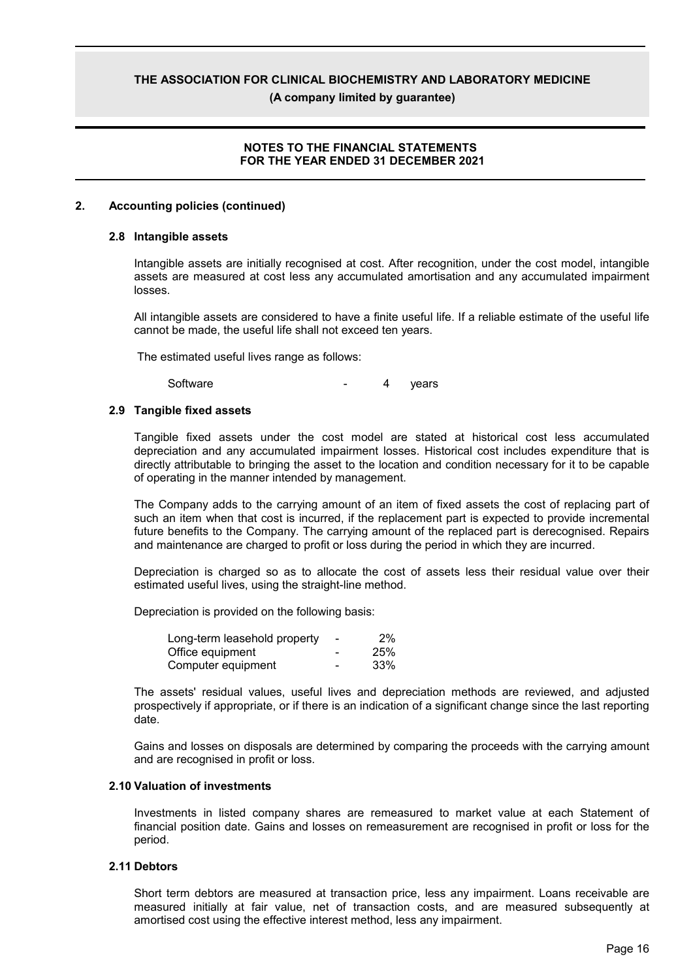(A company limited by quarantee)

#### **NOTES TO THE FINANCIAL STATEMENTS** FOR THE YEAR ENDED 31 DECEMBER 2021

#### $\mathbf{p}$ **Accounting policies (continued)**

#### 2.8 Intangible assets

Intangible assets are initially recognised at cost. After recognition, under the cost model, intangible assets are measured at cost less any accumulated amortisation and any accumulated impairment losses.

All intangible assets are considered to have a finite useful life. If a reliable estimate of the useful life cannot be made, the useful life shall not exceed ten years.

The estimated useful lives range as follows:

Software 4 years

#### 2.9 Tangible fixed assets

Tangible fixed assets under the cost model are stated at historical cost less accumulated depreciation and any accumulated impairment losses. Historical cost includes expenditure that is directly attributable to bringing the asset to the location and condition necessary for it to be capable of operating in the manner intended by management.

The Company adds to the carrying amount of an item of fixed assets the cost of replacing part of such an item when that cost is incurred, if the replacement part is expected to provide incremental future benefits to the Company. The carrying amount of the replaced part is derecognised. Repairs and maintenance are charged to profit or loss during the period in which they are incurred.

Depreciation is charged so as to allocate the cost of assets less their residual value over their estimated useful lives, using the straight-line method.

Depreciation is provided on the following basis:

| Long-term leasehold property | ٠ | 2%  |
|------------------------------|---|-----|
| Office equipment             |   | 25% |
| Computer equipment           |   | 33% |

The assets' residual values, useful lives and depreciation methods are reviewed, and adjusted prospectively if appropriate, or if there is an indication of a significant change since the last reporting date.

Gains and losses on disposals are determined by comparing the proceeds with the carrying amount and are recognised in profit or loss.

#### 2.10 Valuation of investments

Investments in listed company shares are remeasured to market value at each Statement of financial position date. Gains and losses on remeasurement are recognised in profit or loss for the period.

#### 2.11 Debtors

Short term debtors are measured at transaction price, less any impairment. Loans receivable are measured initially at fair value, net of transaction costs, and are measured subsequently at amortised cost using the effective interest method, less any impairment.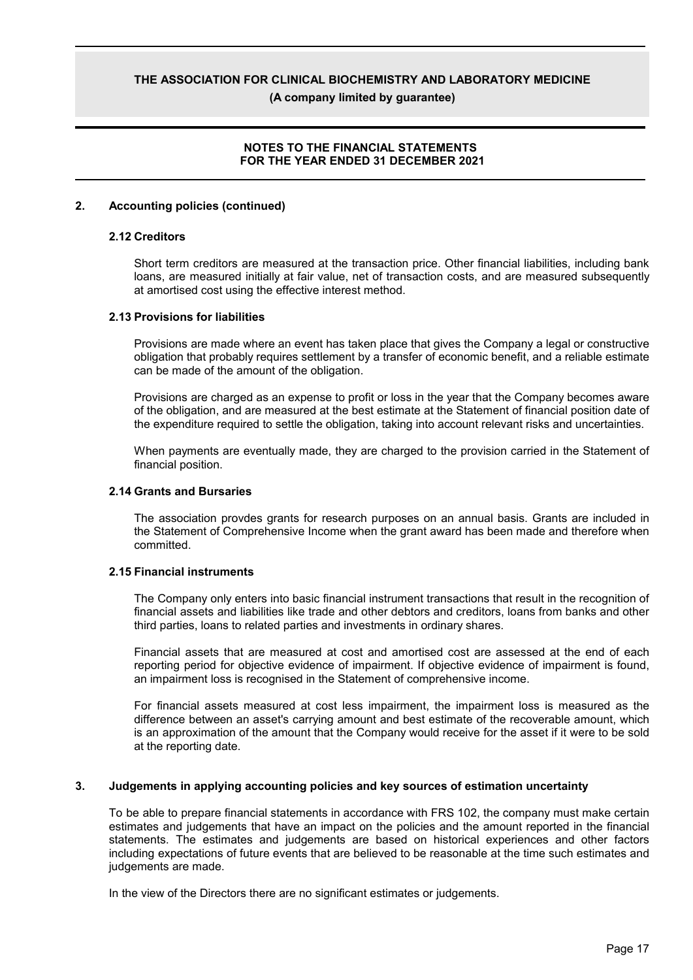(A company limited by quarantee)

### **NOTES TO THE FINANCIAL STATEMENTS** FOR THE YEAR ENDED 31 DECEMBER 2021

#### $\mathbf{p}$ **Accounting policies (continued)**

#### 2.12 Creditors

Short term creditors are measured at the transaction price. Other financial liabilities, including bank loans, are measured initially at fair value, net of transaction costs, and are measured subsequently at amortised cost using the effective interest method.

#### 2.13 Provisions for liabilities

Provisions are made where an event has taken place that gives the Company a legal or constructive obligation that probably requires settlement by a transfer of economic benefit, and a reliable estimate can be made of the amount of the obligation.

Provisions are charged as an expense to profit or loss in the year that the Company becomes aware of the obligation, and are measured at the best estimate at the Statement of financial position date of the expenditure required to settle the obligation, taking into account relevant risks and uncertainties.

When payments are eventually made, they are charged to the provision carried in the Statement of financial position.

#### 2.14 Grants and Bursaries

The association provdes grants for research purposes on an annual basis. Grants are included in the Statement of Comprehensive Income when the grant award has been made and therefore when committed.

#### 2.15 Financial instruments

The Company only enters into basic financial instrument transactions that result in the recognition of financial assets and liabilities like trade and other debtors and creditors, loans from banks and other third parties, loans to related parties and investments in ordinary shares.

Financial assets that are measured at cost and amortised cost are assessed at the end of each reporting period for objective evidence of impairment. If objective evidence of impairment is found, an impairment loss is recognised in the Statement of comprehensive income.

For financial assets measured at cost less impairment, the impairment loss is measured as the difference between an asset's carrying amount and best estimate of the recoverable amount, which is an approximation of the amount that the Company would receive for the asset if it were to be sold at the reporting date.

#### $3.$ Judgements in applying accounting policies and key sources of estimation uncertainty

To be able to prepare financial statements in accordance with FRS 102, the company must make certain estimates and judgements that have an impact on the policies and the amount reported in the financial statements. The estimates and judgements are based on historical experiences and other factors including expectations of future events that are believed to be reasonable at the time such estimates and judgements are made.

In the view of the Directors there are no significant estimates or judgements.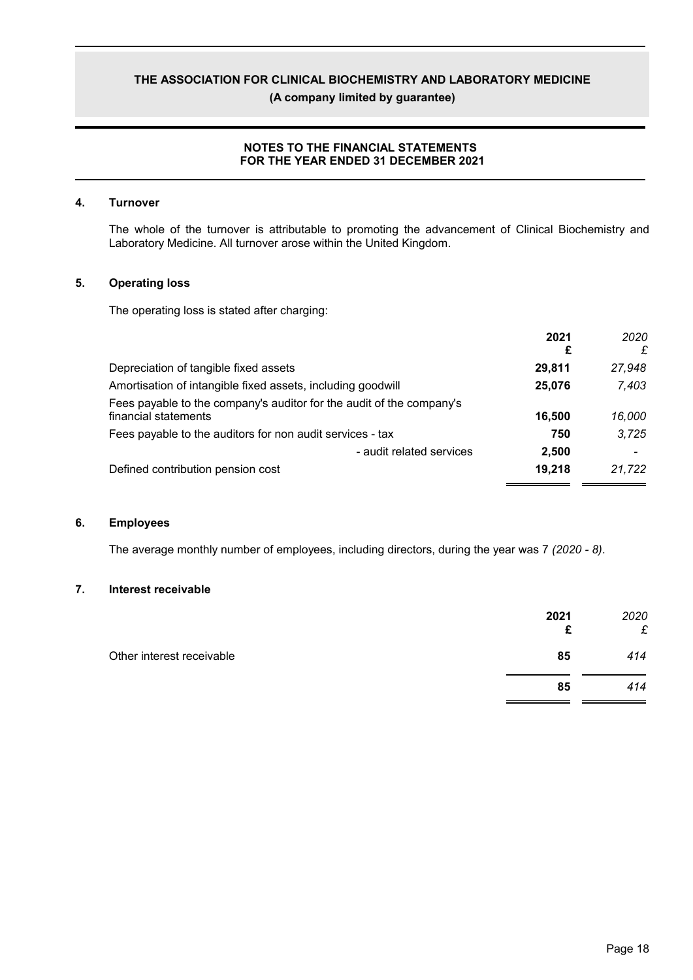(A company limited by guarantee)

### NOTES TO THE FINANCIAL STATEMENTS FOR THE YEAR ENDED 31 DECEMBER 2021

#### $\overline{4}$ . **Turnover**

The whole of the turnover is attributable to promoting the advancement of Clinical Biochemistry and Laboratory Medicine. All turnover arose within the United Kingdom.

#### $5.$ **Operating loss**

The operating loss is stated after charging:

|                                                                                              | 2021<br>£ | 2020<br>£ |
|----------------------------------------------------------------------------------------------|-----------|-----------|
| Depreciation of tangible fixed assets                                                        | 29.811    | 27.948    |
| Amortisation of intangible fixed assets, including goodwill                                  | 25,076    | 7,403     |
| Fees payable to the company's auditor for the audit of the company's<br>financial statements | 16,500    | 16,000    |
| Fees payable to the auditors for non audit services - tax                                    | 750       | 3.725     |
| - audit related services                                                                     | 2,500     |           |
| Defined contribution pension cost                                                            | 19,218    | 21,722    |

#### 6. **Employees**

The average monthly number of employees, including directors, during the year was 7 (2020 - 8).

#### $\overline{7}$ . Interest receivable

|                           | 2021<br>£ | 2020<br>£ |
|---------------------------|-----------|-----------|
| Other interest receivable | 85        | 414       |
|                           | 85        | 414       |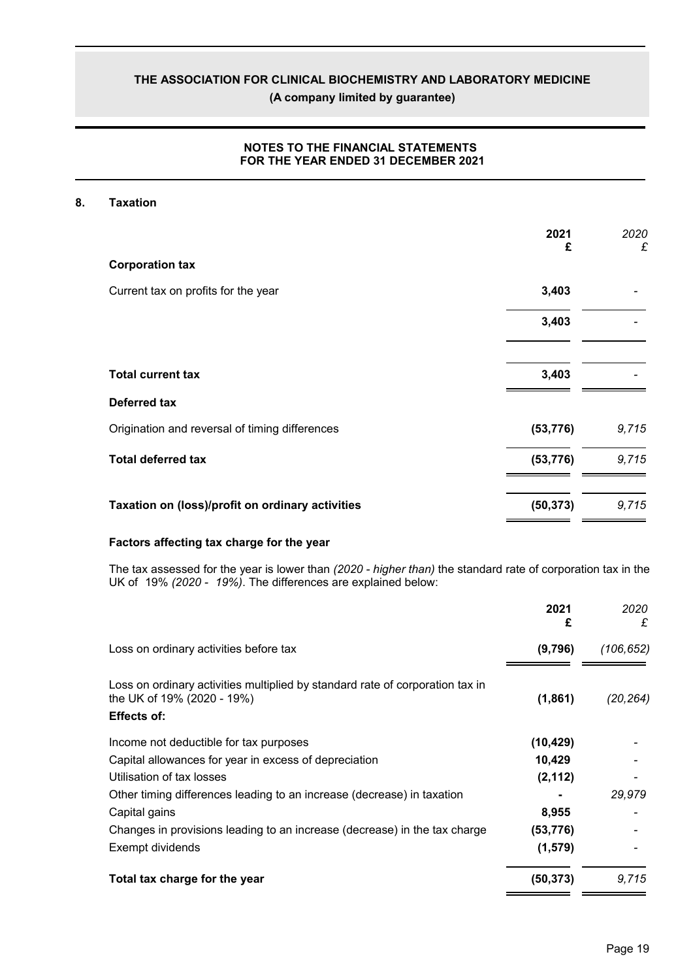(A company limited by guarantee)

### NOTES TO THE FINANCIAL STATEMENTS FOR THE YEAR ENDED 31 DECEMBER 2021

#### 8. **Taxation**

|                                                  | 2021<br>£ | 2020<br>£ |
|--------------------------------------------------|-----------|-----------|
| <b>Corporation tax</b>                           |           |           |
| Current tax on profits for the year              | 3,403     |           |
|                                                  | 3,403     |           |
| <b>Total current tax</b>                         | 3,403     |           |
| Deferred tax                                     |           |           |
| Origination and reversal of timing differences   | (53, 776) | 9,715     |
| <b>Total deferred tax</b>                        | (53, 776) | 9,715     |
| Taxation on (loss)/profit on ordinary activities | (50, 373) | 9,715     |

#### Factors affecting tax charge for the year

The tax assessed for the year is lower than (2020 - higher than) the standard rate of corporation tax in the UK of 19% (2020 - 19%). The differences are explained below:

|                                                                                                                                   | 2021<br>£ | 2020<br>£ |
|-----------------------------------------------------------------------------------------------------------------------------------|-----------|-----------|
| Loss on ordinary activities before tax                                                                                            | (9,796)   | (106,652) |
| Loss on ordinary activities multiplied by standard rate of corporation tax in<br>the UK of 19% (2020 - 19%)<br><b>Effects of:</b> | (1,861)   | (20, 264) |
| Income not deductible for tax purposes                                                                                            | (10, 429) |           |
| Capital allowances for year in excess of depreciation                                                                             | 10,429    |           |
| Utilisation of tax losses                                                                                                         | (2, 112)  |           |
| Other timing differences leading to an increase (decrease) in taxation                                                            |           | 29,979    |
| Capital gains                                                                                                                     | 8,955     |           |
| Changes in provisions leading to an increase (decrease) in the tax charge                                                         | (53,776)  |           |
| Exempt dividends                                                                                                                  | (1, 579)  |           |
| Total tax charge for the year                                                                                                     | (50, 373) | 9,715     |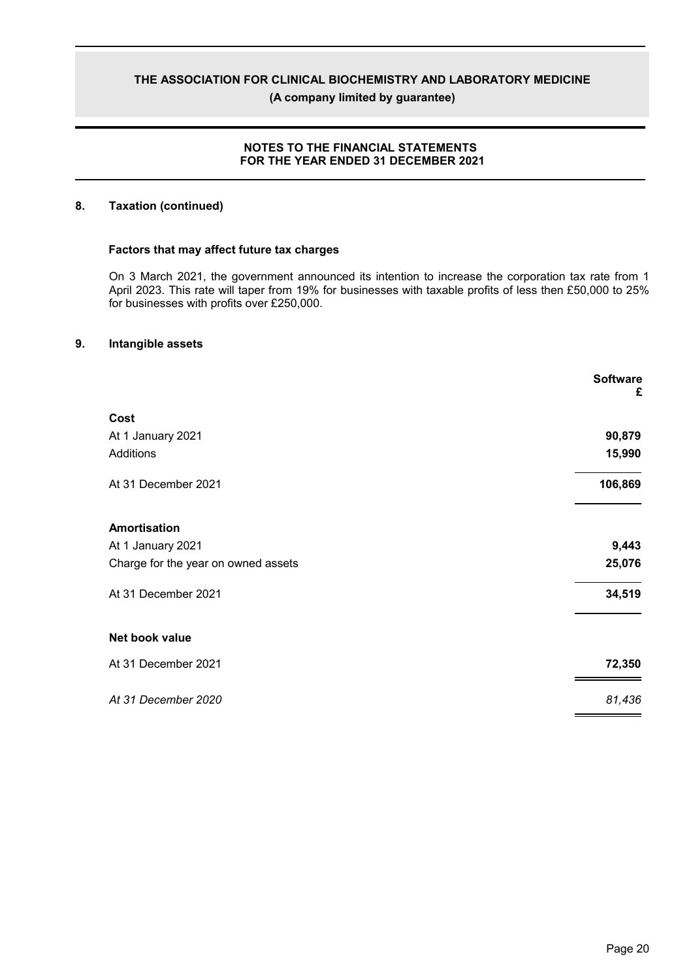(A company limited by guarantee)

### NOTES TO THE FINANCIAL STATEMENTS FOR THE YEAR ENDED 31 DECEMBER 2021

#### 8. **Taxation (continued)**

#### Factors that may affect future tax charges

On 3 March 2021, the government announced its intention to increase the corporation tax rate from 1 April 2023. This rate will taper from 19% for businesses with taxable profits of less then £50,000 to 25% for businesses with profits over £250,000.

#### 9. Intangible assets

|                                     | <b>Software</b><br>£ |
|-------------------------------------|----------------------|
| Cost                                |                      |
| At 1 January 2021                   | 90,879               |
| Additions                           | 15,990               |
| At 31 December 2021                 | 106,869              |
| Amortisation                        |                      |
| At 1 January 2021                   | 9,443                |
| Charge for the year on owned assets | 25,076               |
| At 31 December 2021                 | 34,519               |
| Net book value                      |                      |
| At 31 December 2021                 | 72,350               |
| At 31 December 2020                 | 81,436               |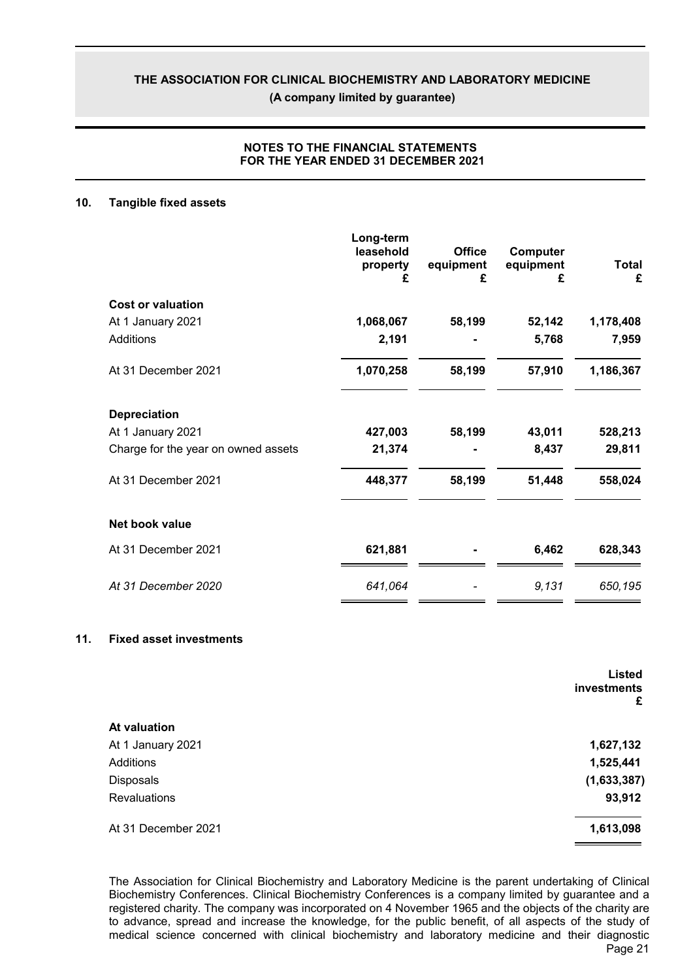(A company limited by quarantee)

### **NOTES TO THE FINANCIAL STATEMENTS** FOR THE YEAR ENDED 31 DECEMBER 2021

#### $10.$ **Tangible fixed assets**

|                                     | Long-term<br>leasehold<br>property<br>£ | <b>Office</b><br>equipment<br>£ | Computer<br>equipment<br>£ | Total<br>£ |
|-------------------------------------|-----------------------------------------|---------------------------------|----------------------------|------------|
| <b>Cost or valuation</b>            |                                         |                                 |                            |            |
| At 1 January 2021                   | 1,068,067                               | 58,199                          | 52,142                     | 1,178,408  |
| Additions                           | 2,191                                   |                                 | 5,768                      | 7,959      |
| At 31 December 2021                 | 1,070,258                               | 58,199                          | 57,910                     | 1,186,367  |
| <b>Depreciation</b>                 |                                         |                                 |                            |            |
| At 1 January 2021                   | 427,003                                 | 58,199                          | 43,011                     | 528,213    |
| Charge for the year on owned assets | 21,374                                  |                                 | 8,437                      | 29,811     |
| At 31 December 2021                 | 448,377                                 | 58,199                          | 51,448                     | 558,024    |
| Net book value                      |                                         |                                 |                            |            |
| At 31 December 2021                 | 621,881                                 |                                 | 6,462                      | 628,343    |
| At 31 December 2020                 | 641,064                                 |                                 | 9,131                      | 650,195    |

#### $11.$ **Fixed asset investments**

|                     | <b>Listed</b><br>investments<br>£ |
|---------------------|-----------------------------------|
| <b>At valuation</b> |                                   |
| At 1 January 2021   | 1,627,132                         |
| Additions           | 1,525,441                         |
| <b>Disposals</b>    | (1,633,387)                       |
| <b>Revaluations</b> | 93,912                            |
| At 31 December 2021 | 1,613,098                         |

The Association for Clinical Biochemistry and Laboratory Medicine is the parent undertaking of Clinical Biochemistry Conferences. Clinical Biochemistry Conferences is a company limited by guarantee and a registered charity. The company was incorporated on 4 November 1965 and the objects of the charity are to advance, spread and increase the knowledge, for the public benefit, of all aspects of the study of medical science concerned with clinical biochemistry and laboratory medicine and their diagnostic Page 21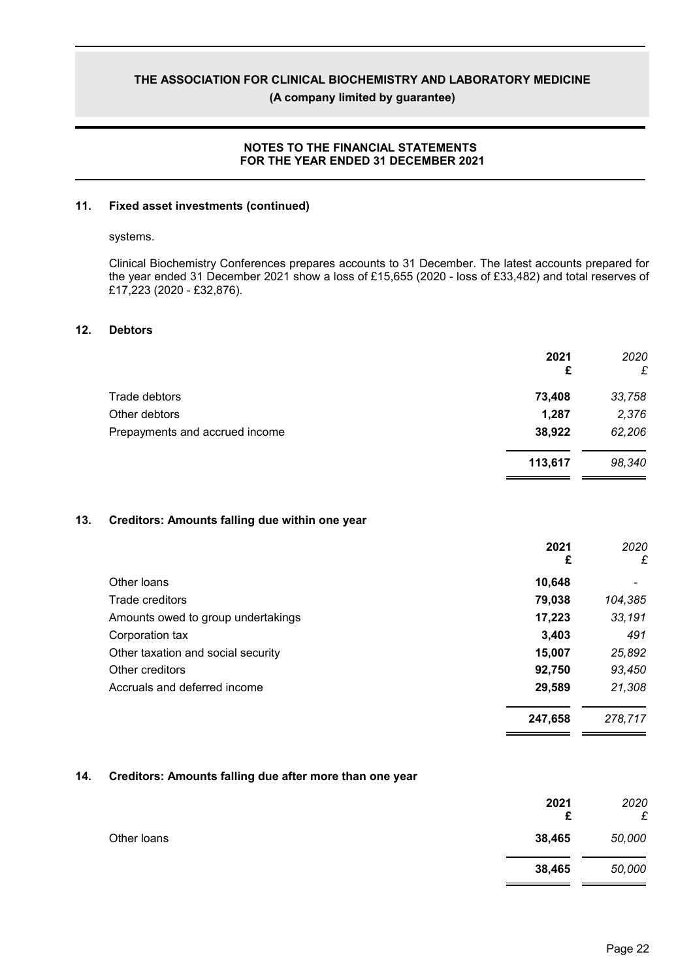(A company limited by guarantee)

#### **NOTES TO THE FINANCIAL STATEMENTS** FOR THE YEAR ENDED 31 DECEMBER 2021

#### $11.$ **Fixed asset investments (continued)**

#### systems.

Clinical Biochemistry Conferences prepares accounts to 31 December. The latest accounts prepared for the year ended 31 December 2021 show a loss of £15,655 (2020 - loss of £33,482) and total reserves of £17,223 (2020 - £32,876).

#### $12.$ **Debtors**

|                                | 2021<br>£ | 2020<br>£ |
|--------------------------------|-----------|-----------|
| Trade debtors                  | 73,408    | 33,758    |
| Other debtors                  | 1,287     | 2,376     |
| Prepayments and accrued income | 38,922    | 62,206    |
|                                | 113,617   | 98,340    |

#### $13.$ Creditors: Amounts falling due within one year

|                                    | 2021<br>£ | 2020<br>£ |
|------------------------------------|-----------|-----------|
| Other loans                        | 10,648    |           |
| Trade creditors                    | 79,038    | 104,385   |
| Amounts owed to group undertakings | 17,223    | 33,191    |
| Corporation tax                    | 3,403     | 491       |
| Other taxation and social security | 15,007    | 25,892    |
| Other creditors                    | 92,750    | 93,450    |
| Accruals and deferred income       | 29,589    | 21,308    |
|                                    | 247,658   | 278,717   |

#### $14.$ Creditors: Amounts falling due after more than one year

|             | 2021<br>£ | 2020<br>£ |
|-------------|-----------|-----------|
| Other loans | 38,465    | 50,000    |
|             | 38,465    | 50,000    |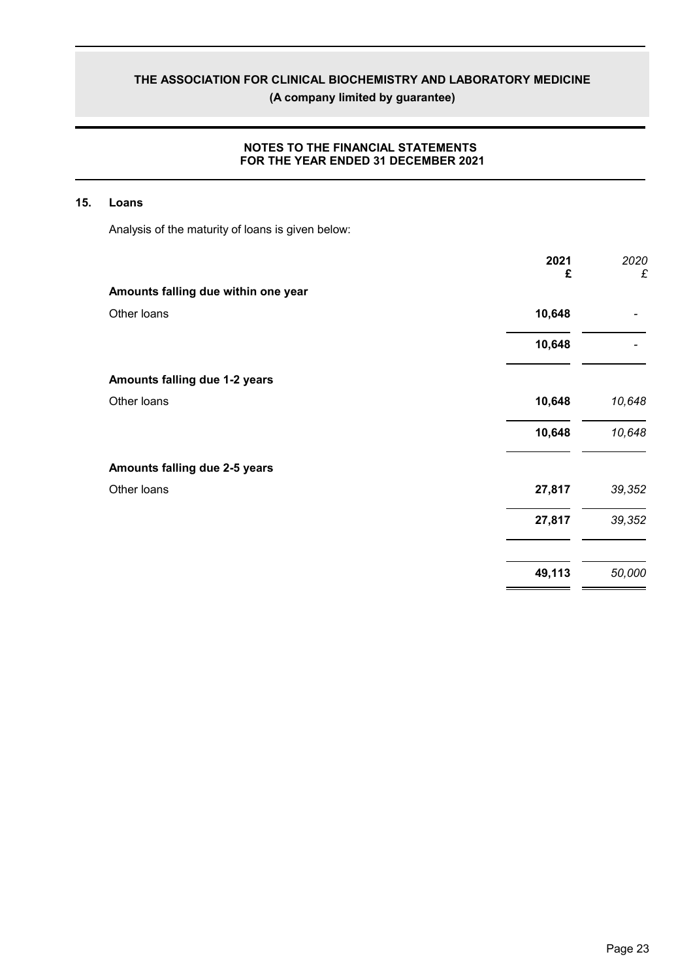(A company limited by guarantee)

### NOTES TO THE FINANCIAL STATEMENTS FOR THE YEAR ENDED 31 DECEMBER 2021

#### 15. Loans

Analysis of the maturity of loans is given below:

| 2021<br>£                           | 2020<br>£ |
|-------------------------------------|-----------|
| Amounts falling due within one year |           |
| Other loans<br>10,648               |           |
| 10,648                              |           |
| Amounts falling due 1-2 years       |           |
| Other loans<br>10,648               | 10,648    |
| 10,648                              | 10,648    |
| Amounts falling due 2-5 years       |           |
| Other loans<br>27,817               | 39,352    |
| 27,817                              | 39,352    |
| 49,113                              | 50,000    |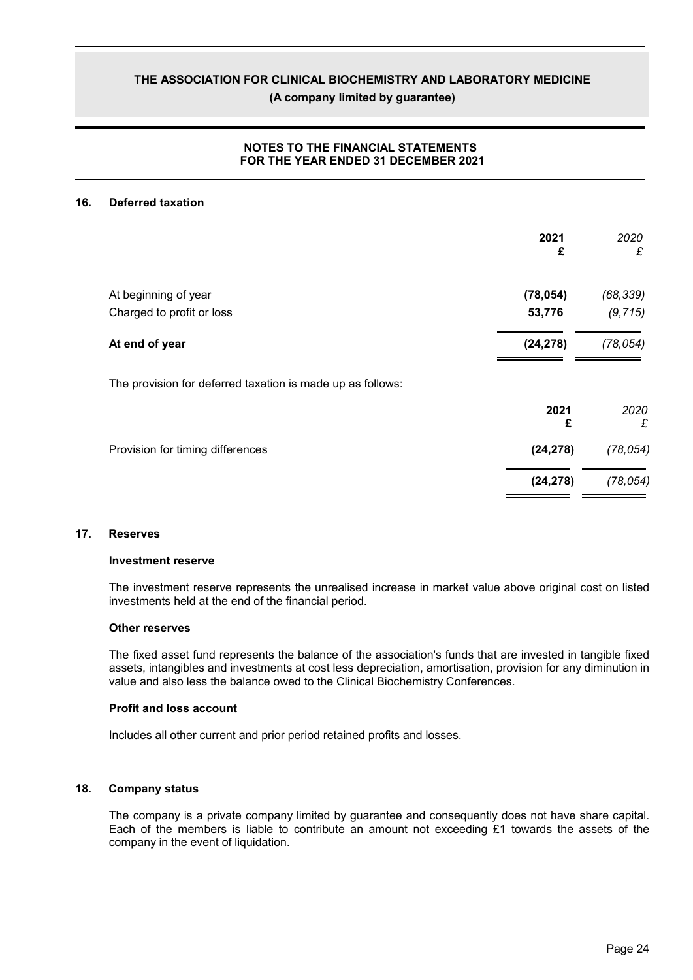(A company limited by quarantee)

### **NOTES TO THE FINANCIAL STATEMENTS** FOR THE YEAR ENDED 31 DECEMBER 2021

#### 16. **Deferred taxation**

|                                                            | 2021<br>£ | 2020<br>£ |
|------------------------------------------------------------|-----------|-----------|
| At beginning of year                                       | (78, 054) | (68, 339) |
| Charged to profit or loss                                  | 53,776    | (9, 715)  |
| At end of year                                             | (24, 278) | (78, 054) |
| The provision for deferred taxation is made up as follows: |           |           |
|                                                            | 2021<br>£ | 2020<br>£ |
| Provision for timing differences                           | (24, 278) | (78, 054) |
|                                                            | (24, 278) | (78, 054) |
|                                                            |           |           |

#### $17.$ **Reserves**

#### **Investment reserve**

The investment reserve represents the unrealised increase in market value above original cost on listed investments held at the end of the financial period.

#### **Other reserves**

The fixed asset fund represents the balance of the association's funds that are invested in tangible fixed assets, intangibles and investments at cost less depreciation, amortisation, provision for any diminution in value and also less the balance owed to the Clinical Biochemistry Conferences.

#### **Profit and loss account**

Includes all other current and prior period retained profits and losses.

#### 18. **Company status**

The company is a private company limited by guarantee and consequently does not have share capital. Each of the members is liable to contribute an amount not exceeding £1 towards the assets of the company in the event of liquidation.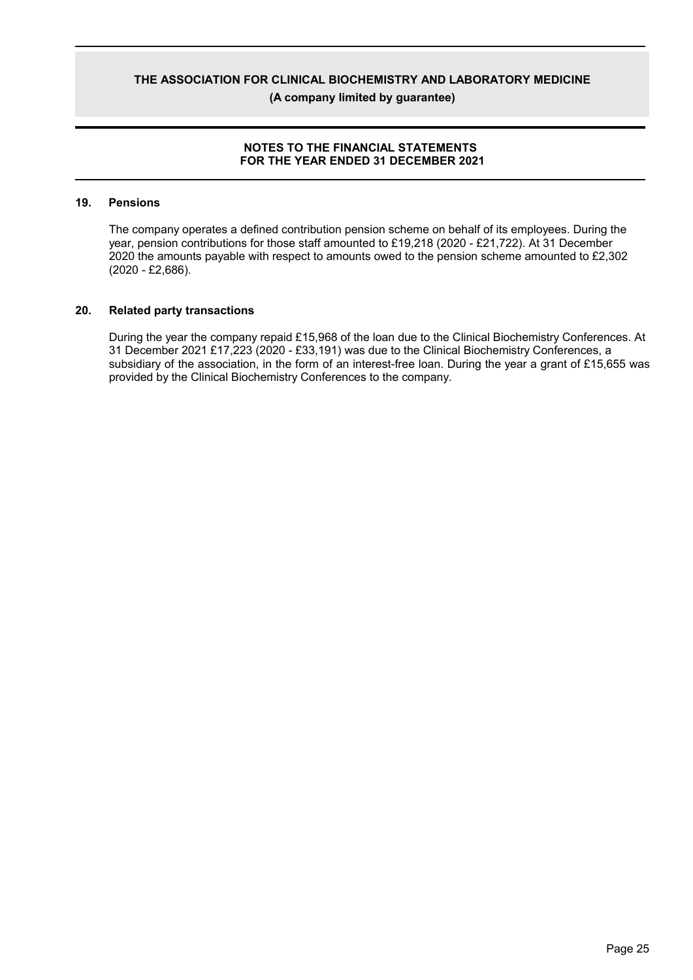(A company limited by quarantee)

### **NOTES TO THE FINANCIAL STATEMENTS** FOR THE YEAR ENDED 31 DECEMBER 2021

#### 19. **Pensions**

The company operates a defined contribution pension scheme on behalf of its employees. During the year, pension contributions for those staff amounted to £19,218 (2020 - £21,722). At 31 December 2020 the amounts payable with respect to amounts owed to the pension scheme amounted to £2,302  $(2020 - £2,686)$ .

#### 20. **Related party transactions**

During the year the company repaid £15,968 of the loan due to the Clinical Biochemistry Conferences. At 31 December 2021 £17,223 (2020 - £33,191) was due to the Clinical Biochemistry Conferences, a subsidiary of the association, in the form of an interest-free loan. During the year a grant of £15,655 was provided by the Clinical Biochemistry Conferences to the company.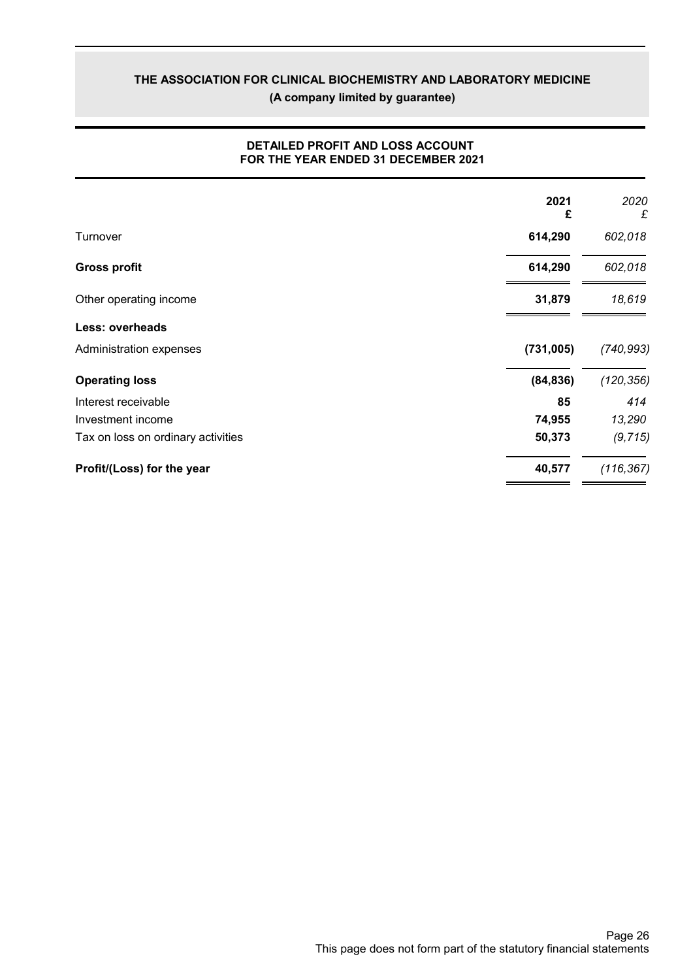(A company limited by guarantee)

|                                    | 2021<br>£ | 2020<br>£  |
|------------------------------------|-----------|------------|
| Turnover                           | 614,290   | 602,018    |
| <b>Gross profit</b>                | 614,290   | 602,018    |
| Other operating income             | 31,879    | 18,619     |
| <b>Less: overheads</b>             |           |            |
| Administration expenses            | (731,005) | (740, 993) |
| <b>Operating loss</b>              | (84, 836) | (120, 356) |
| Interest receivable                | 85        | 414        |
| Investment income                  | 74,955    | 13,290     |
| Tax on loss on ordinary activities | 50,373    | (9, 715)   |
| Profit/(Loss) for the year         | 40,577    | (116, 367) |

### DETAILED PROFIT AND LOSS ACCOUNT FOR THE YEAR ENDED 31 DECEMBER 2021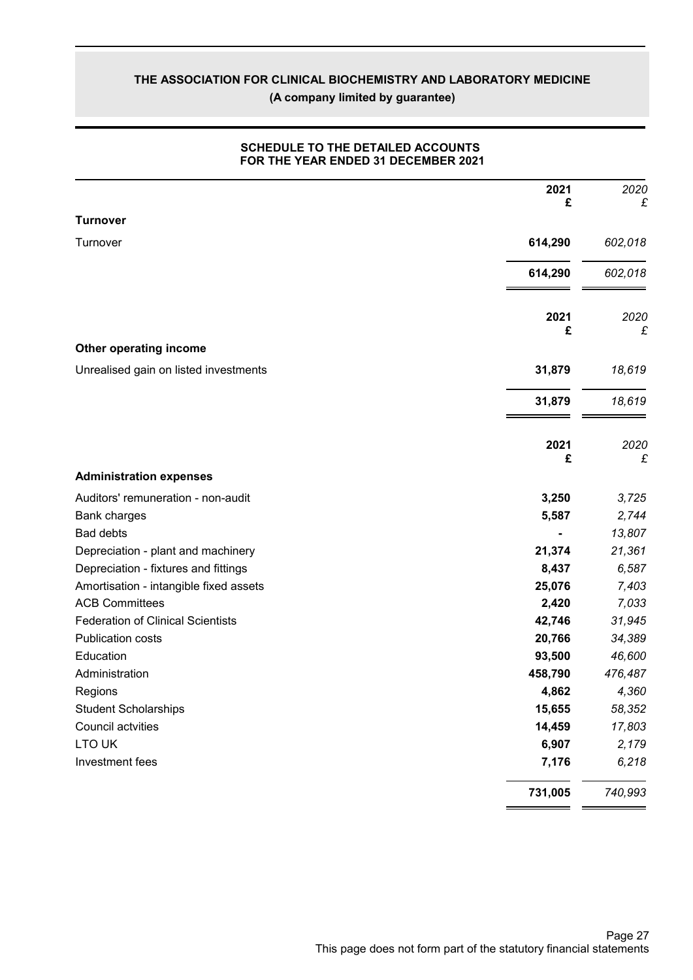## THE ASSOCIATION FOR CLINICAL BIOCHEMISTRY AND LABORATORY MEDICINE (A company limited by guarantee)

|                                          | 2021<br>£ | 2020<br>£ |
|------------------------------------------|-----------|-----------|
| <b>Turnover</b>                          |           |           |
| Turnover                                 | 614,290   | 602,018   |
|                                          | 614,290   | 602,018   |
|                                          | 2021<br>£ | 2020<br>£ |
| Other operating income                   |           |           |
| Unrealised gain on listed investments    | 31,879    | 18,619    |
|                                          | 31,879    | 18,619    |
|                                          | 2021<br>£ | 2020<br>£ |
| <b>Administration expenses</b>           |           |           |
| Auditors' remuneration - non-audit       | 3,250     | 3,725     |
| Bank charges                             | 5,587     | 2,744     |
| <b>Bad debts</b>                         |           | 13,807    |
| Depreciation - plant and machinery       | 21,374    | 21,361    |
| Depreciation - fixtures and fittings     | 8,437     | 6,587     |
| Amortisation - intangible fixed assets   | 25,076    | 7,403     |
| <b>ACB Committees</b>                    | 2,420     | 7,033     |
| <b>Federation of Clinical Scientists</b> | 42,746    | 31,945    |
| <b>Publication costs</b>                 | 20,766    | 34,389    |
| Education                                | 93,500    | 46,600    |
| Administration                           | 458,790   | 476,487   |
| Regions                                  | 4,862     | 4,360     |
| <b>Student Scholarships</b>              | 15,655    | 58,352    |
| Council actvities                        | 14,459    | 17,803    |
| LTO UK                                   | 6,907     | 2,179     |
| Investment fees                          | 7,176     | 6,218     |
|                                          | 731,005   | 740,993   |

### SCHEDULE TO THE DETAILED ACCOUNTS FOR THE YEAR ENDED 31 DECEMBER 2021